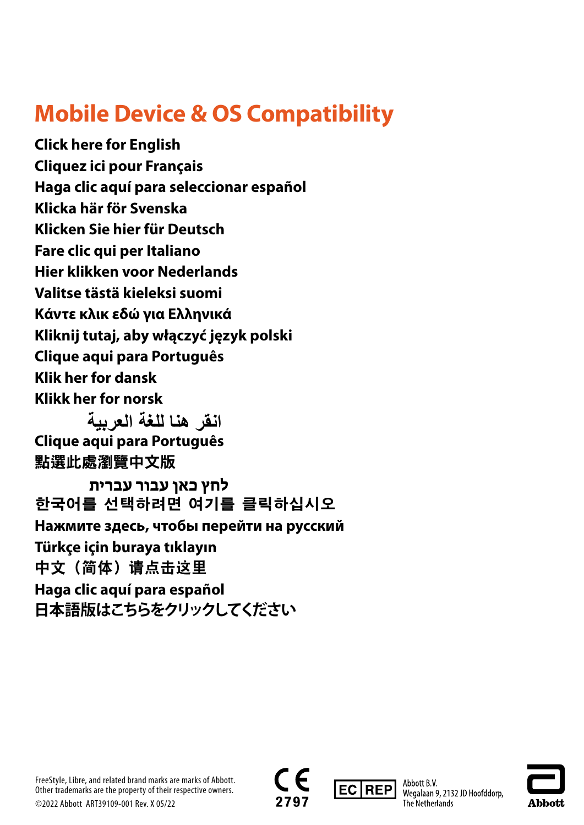# **Mobile Device & OS Compatibility**

**[Click here for English](#page-1-0) [Cliquez ici pour Français](#page-2-0) [Haga clic aquí para seleccionar e](#page-3-0)spañol [Klicka här för Svenska](#page-4-0) [Klicken Sie hier für Deutsch](#page-5-0) [Fare clic qui per Italiano](#page-6-0) [Hier klikken voor Nederlands](#page-7-0) [Valitse tästä kieleksi suomi](#page-8-0) [Κάντε κλικ εδώ για Ελληνικά](#page-9-0) [Kliknij tutaj, aby włączyć język polski](#page-10-0) [Clique aqui para Português](#page-11-0) [Klik her for dansk](#page-12-0) [Klikk her for norsk](#page-13-0)**

**[Clique aqui para Português](#page-15-0)** [點選此處瀏覽中文版](#page-16-0) **[انقر هنا للغة العربية](#page-14-0)** 

**[한국어를 선택하려면 여기를 클릭하십시오](#page-18-0) [Нажмите здесь, чтобы перейти на русский](#page-19-0) [Türkçe için buraya tıklayın](#page-20-0)** [中文\(简体\)请点击这里](#page-21-0) **[Haga clic aquí para español](#page-22-0) [日本語版はこちらをクリックしてください](#page-23-0) [לחץ כאן עבור עברית](#page-17-0)** 







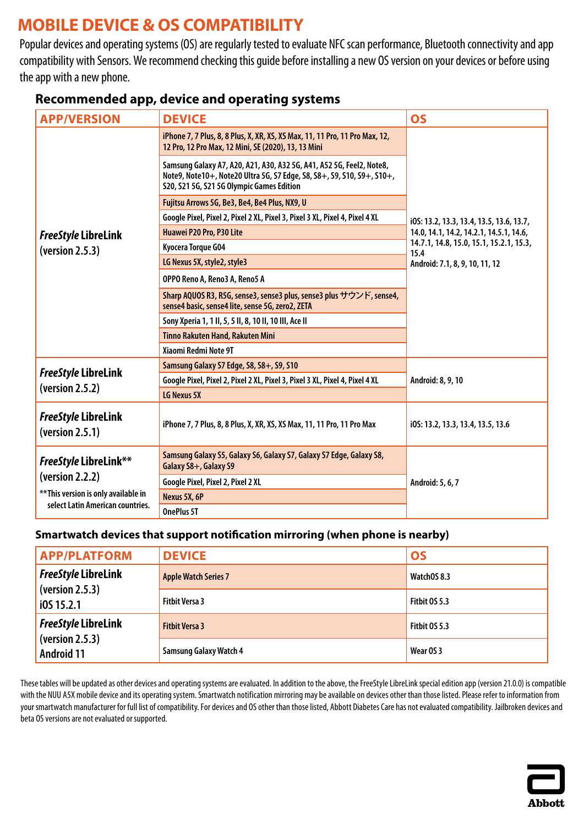# <span id="page-1-0"></span>**MOBILE DEVICE & OS COMPATIBILITY**

Popular devices and operating systems (OS) are regularly tested to evaluate NFC scan performance, Bluetooth connectivity and app compatibility with Sensors. We recommend checking this guide before installing a new OS version on your devices or before using the app with a new phone.

|  | <b>Recommended app, device and operating systems</b> |  |
|--|------------------------------------------------------|--|
|--|------------------------------------------------------|--|

| <b>APP/VERSION</b>                                                                                                          | <b>DEVICE</b>                                                                                                                                                                               | <b>OS</b>                                       |
|-----------------------------------------------------------------------------------------------------------------------------|---------------------------------------------------------------------------------------------------------------------------------------------------------------------------------------------|-------------------------------------------------|
|                                                                                                                             | iPhone 7, 7 Plus, 8, 8 Plus, X, XR, XS, XS Max, 11, 11 Pro, 11 Pro Max, 12,<br>12 Pro, 12 Pro Max, 12 Mini, SE (2020), 13, 13 Mini                                                          |                                                 |
|                                                                                                                             | Samsung Galaxy A7, A20, A21, A30, A32 5G, A41, A52 5G, Feel2, Note8,<br>Note9, Note10+, Note20 Ultra 5G, S7 Edge, S8, S8+, S9, S10, S9+, S10+,<br>S20, S21 5G, S21 5G Olympic Games Edition |                                                 |
|                                                                                                                             | Fujitsu Arrows 5G, Be3, Be4, Be4 Plus, NX9, U                                                                                                                                               |                                                 |
|                                                                                                                             | Google Pixel, Pixel 2, Pixel 2 XL, Pixel 3, Pixel 3 XL, Pixel 4, Pixel 4 XL                                                                                                                 | i0S: 13.2, 13.3, 13.4, 13.5, 13.6, 13.7,        |
| <b>FreeStyle LibreLink</b>                                                                                                  | Huawei P20 Pro, P30 Lite                                                                                                                                                                    | 14.0, 14.1, 14.2, 14.2.1, 14.5.1, 14.6,         |
| (yersion 2.5.3)                                                                                                             | Kyocera Torque G04                                                                                                                                                                          | 14.7.1, 14.8, 15.0, 15.1, 15.2.1, 15.3,<br>15.4 |
|                                                                                                                             | LG Nexus 5X, style2, style3                                                                                                                                                                 | Android: 7.1, 8, 9, 10, 11, 12                  |
|                                                                                                                             | OPPO Reno A, Reno3 A, Reno5 A                                                                                                                                                               |                                                 |
|                                                                                                                             | Sharp AQUOS R3, R5G, sense3, sense3 plus, sense3 plus サウンド, sense4,<br>sense4 basic, sense4 lite, sense 5G, zero2, ZETA                                                                     |                                                 |
|                                                                                                                             | Sony Xperia 1, 1 II, 5, 5 II, 8, 10 II, 10 III, Ace II                                                                                                                                      |                                                 |
|                                                                                                                             | <b>Tinno Rakuten Hand, Rakuten Mini</b>                                                                                                                                                     |                                                 |
|                                                                                                                             | Xiaomi Redmi Note 9T                                                                                                                                                                        |                                                 |
|                                                                                                                             | Samsung Galaxy S7 Edge, S8, S8+, S9, S10                                                                                                                                                    |                                                 |
| <b>FreeStyle LibreLink</b>                                                                                                  | Google Pixel, Pixel 2, Pixel 2 XL, Pixel 3, Pixel 3 XL, Pixel 4, Pixel 4 XL                                                                                                                 | Android: 8, 9, 10                               |
| (yersion 2.5.2)                                                                                                             | LG Nexus 5X                                                                                                                                                                                 |                                                 |
| <b>FreeStyle LibreLink</b><br>(yersion 2.5.1)                                                                               | iPhone 7, 7 Plus, 8, 8 Plus, X, XR, XS, XS Max, 11, 11 Pro, 11 Pro Max                                                                                                                      | i0S: 13.2, 13.3, 13.4, 13.5, 13.6               |
| <b>FreeStyle LibreLink**</b><br>(version 2.2.2)<br>** This version is only available in<br>select Latin American countries. | Samsung Galaxy S5, Galaxy S6, Galaxy S7, Galaxy S7 Edge, Galaxy S8,<br>Galaxy S8+, Galaxy S9                                                                                                |                                                 |
|                                                                                                                             | Google Pixel, Pixel 2, Pixel 2 XL                                                                                                                                                           | Android: 5, 6, 7                                |
|                                                                                                                             | Nexus 5X, 6P                                                                                                                                                                                |                                                 |
|                                                                                                                             | <b>OnePlus 5T</b>                                                                                                                                                                           |                                                 |

#### **Smartwatch devices that support notification mirroring (when phone is nearby)**

| <b>APP/PLATFORM</b>                  | <b>DEVICE</b>                 | <b>OS</b>            |
|--------------------------------------|-------------------------------|----------------------|
| <b>FreeStyle LibreLink</b>           | <b>Apple Watch Series 7</b>   | WatchOS 8.3          |
| (yersion 2.5.3)<br>i0S 15.2.1        | <b>Fitbit Versa 3</b>         | <b>Fitbit 0S 5.3</b> |
| <b>FreeStyle LibreLink</b>           | <b>Fitbit Versa 3</b>         | <b>Fitbit 0S 5.3</b> |
| (yersion 2.5.3)<br><b>Android 11</b> | <b>Samsung Galaxy Watch 4</b> | Wear OS 3            |

These tables will be updated as other devices and operating systems are evaluated. In addition to the above, the FreeStyle LibreLink special edition app (version 21.0.0) is compatible with the NUU A5X mobile device and its operating system. Smartwatch notification mirroring may be available on devices other than those listed. Please refer to information from your smartwatch manufacturer for full list of compatibility. For devices and OS other than those listed, Abbott Diabetes Care has not evaluated compatibility. Jailbroken devices and beta OS versions are not evaluated or supported.

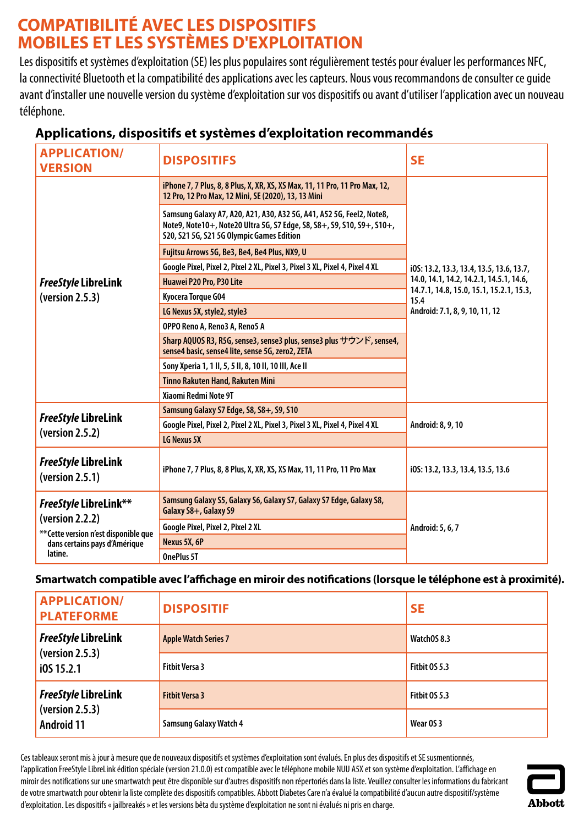# <span id="page-2-0"></span>**COMPATIBILITÉ AVEC LES DISPOSITIFS MOBILES ET LES SYSTÈMES D'EXPLOITATION**

Les dispositifs et systèmes d'exploitation (SE) les plus populaires sont régulièrement testés pour évaluer les performances NFC, la connectivité Bluetooth et la compatibilité des applications avec les capteurs. Nous vous recommandons de consulter ce guide avant d'installer une nouvelle version du système d'exploitation sur vos dispositifs ou avant d'utiliser l'application avec un nouveau téléphone.

| <b>APPLICATION/</b><br><b>VERSION</b>                                                                                         | <b>DISPOSITIFS</b>                                                                                                                                                                          | <b>SE</b>                                       |
|-------------------------------------------------------------------------------------------------------------------------------|---------------------------------------------------------------------------------------------------------------------------------------------------------------------------------------------|-------------------------------------------------|
|                                                                                                                               | iPhone 7, 7 Plus, 8, 8 Plus, X, XR, XS, XS Max, 11, 11 Pro, 11 Pro Max, 12,<br>12 Pro, 12 Pro Max, 12 Mini, SE (2020), 13, 13 Mini                                                          |                                                 |
|                                                                                                                               | Samsung Galaxy A7, A20, A21, A30, A32 5G, A41, A52 5G, Feel2, Note8,<br>Note9, Note10+, Note20 Ultra 5G, S7 Edge, S8, S8+, S9, S10, S9+, S10+,<br>S20, S21 5G, S21 5G Olympic Games Edition |                                                 |
|                                                                                                                               | Fujitsu Arrows 5G, Be3, Be4, Be4 Plus, NX9, U                                                                                                                                               |                                                 |
|                                                                                                                               | Google Pixel, Pixel 2, Pixel 2 XL, Pixel 3, Pixel 3 XL, Pixel 4, Pixel 4 XL                                                                                                                 | i0S: 13.2, 13.3, 13.4, 13.5, 13.6, 13.7,        |
| <b>FreeStyle LibreLink</b>                                                                                                    | Huawei P20 Pro, P30 Lite                                                                                                                                                                    | 14.0, 14.1, 14.2, 14.2.1, 14.5.1, 14.6,         |
| (yersion 2.5.3)                                                                                                               | Kyocera Torque G04                                                                                                                                                                          | 14.7.1, 14.8, 15.0, 15.1, 15.2.1, 15.3,<br>15.4 |
|                                                                                                                               | LG Nexus 5X, style2, style3                                                                                                                                                                 | Android: 7.1, 8, 9, 10, 11, 12                  |
|                                                                                                                               | OPPO Reno A, Reno3 A, Reno5 A                                                                                                                                                               |                                                 |
|                                                                                                                               | Sharp AQUOS R3, R5G, sense3, sense3 plus, sense3 plus サウンド, sense4,<br>sense4 basic, sense4 lite, sense 5G, zero2, ZETA                                                                     |                                                 |
|                                                                                                                               | Sony Xperia 1, 1 II, 5, 5 II, 8, 10 II, 10 III, Ace II                                                                                                                                      |                                                 |
|                                                                                                                               | <b>Tinno Rakuten Hand, Rakuten Mini</b>                                                                                                                                                     |                                                 |
|                                                                                                                               | Xiaomi Redmi Note 9T                                                                                                                                                                        |                                                 |
|                                                                                                                               | Samsung Galaxy S7 Edge, S8, S8+, S9, S10                                                                                                                                                    |                                                 |
| <b>FreeStyle LibreLink</b><br>(version 2.5.2)                                                                                 | Google Pixel, Pixel 2, Pixel 2 XL, Pixel 3, Pixel 3 XL, Pixel 4, Pixel 4 XL                                                                                                                 | Android: 8, 9, 10                               |
|                                                                                                                               | LG Nexus 5X                                                                                                                                                                                 |                                                 |
| <b>FreeStyle LibreLink</b><br>(version 2.5.1)                                                                                 | iPhone 7, 7 Plus, 8, 8 Plus, X, XR, XS, XS Max, 11, 11 Pro, 11 Pro Max                                                                                                                      | i0S: 13.2, 13.3, 13.4, 13.5, 13.6               |
| FreeStyle LibreLink**<br>(version 2.2.2)<br>** Cette version n'est disponible que<br>dans certains pays d'Amérique<br>latine. | Samsung Galaxy S5, Galaxy S6, Galaxy S7, Galaxy S7 Edge, Galaxy S8,<br>Galaxy S8+, Galaxy S9                                                                                                |                                                 |
|                                                                                                                               | Google Pixel, Pixel 2, Pixel 2 XL                                                                                                                                                           | Android: 5, 6, 7                                |
|                                                                                                                               | Nexus 5X, 6P                                                                                                                                                                                |                                                 |
|                                                                                                                               | OnePlus 5T                                                                                                                                                                                  |                                                 |

## **Applications, dispositifs et systèmes d'exploitation recommandés**

**Smartwatch compatible avec l'affichage en miroir des notifications (lorsque le téléphone est à proximité).**

| <b>APPLICATION/</b><br><b>PLATEFORME</b>                                   | <b>DISPOSITIF</b>             | <b>SE</b>     |
|----------------------------------------------------------------------------|-------------------------------|---------------|
| <b>FreeStyle LibreLink</b>                                                 | <b>Apple Watch Series 7</b>   | WatchOS 8.3   |
| $\sqrt{\sqrt{25.3}}$<br>$\overline{105}$ 15.2.1                            | <b>Fitbit Versa 3</b>         | Fitbit OS 5.3 |
| <b>FreeStyle LibreLink</b><br>$\left($ version 2.5.3)<br><b>Android 11</b> | <b>Fitbit Versa 3</b>         | Fitbit OS 5.3 |
|                                                                            | <b>Samsung Galaxy Watch 4</b> | Wear OS 3     |

Ces tableaux seront mis à jour à mesure que de nouveaux dispositifs et systèmes d'exploitation sont évalués. En plus des dispositifs et SE susmentionnés, l'application FreeStyle LibreLink édition spéciale (version 21.0.0) est compatible avec le téléphone mobile NUU A5X et son système d'exploitation. L'affichage en miroir des notifications sur une smartwatch peut être disponible sur d'autres dispositifs non répertoriés dans la liste. Veuillez consulter les informations du fabricant de votre smartwatch pour obtenir la liste complète des dispositifs compatibles. Abbott Diabetes Care n'a évalué la compatibilité d'aucun autre dispositif/système d'exploitation. Les dispositifs « jailbreakés » et les versions bêta du système d'exploitation ne sont ni évalués ni pris en charge.

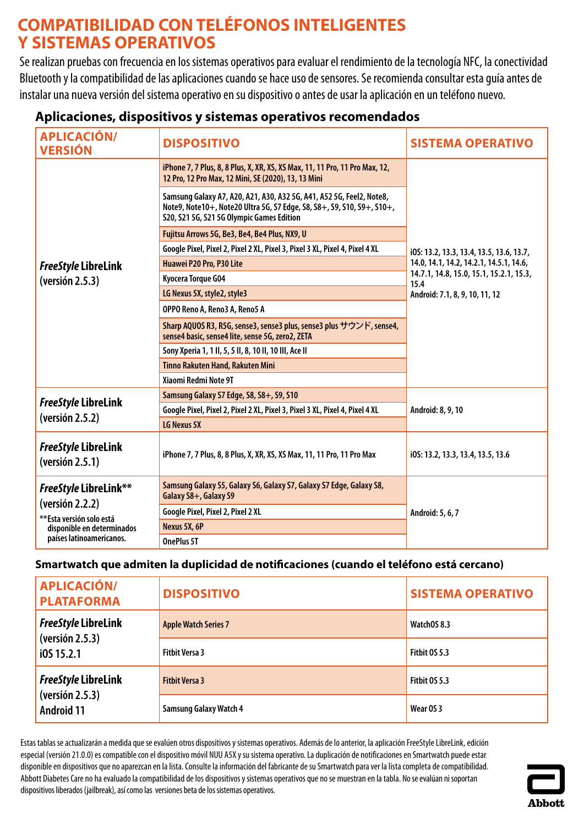# <span id="page-3-0"></span>**COMPATIBILIDAD CON TELÉFONOS INTELIGENTES Y SISTEMAS OPERATIVOS**

Se realizan pruebas con frecuencia en los sistemas operativos para evaluar el rendimiento de la tecnología NFC, la conectividad Bluetooth y la compatibilidad de las aplicaciones cuando se hace uso de sensores. Serecomienda consultar esta guía antes de instalar una nueva versión del sistema operativo en su dispositivo oantes de usar la aplicación en un teléfono nuevo.

| <b>APLICACIÓN/</b><br><b>VERSIÓN</b>                                                                                           | <b>DISPOSITIVO</b>                                                                                                                                                                          | <b>SISTEMA OPERATIVO</b>                        |
|--------------------------------------------------------------------------------------------------------------------------------|---------------------------------------------------------------------------------------------------------------------------------------------------------------------------------------------|-------------------------------------------------|
|                                                                                                                                | iPhone 7, 7 Plus, 8, 8 Plus, X, XR, XS, XS Max, 11, 11 Pro, 11 Pro Max, 12,<br>12 Pro, 12 Pro Max, 12 Mini, SE (2020), 13, 13 Mini                                                          |                                                 |
|                                                                                                                                | Samsung Galaxy A7, A20, A21, A30, A32 5G, A41, A52 5G, Feel2, Note8,<br>Note9, Note10+, Note20 Ultra 5G, S7 Edge, S8, S8+, S9, S10, S9+, S10+,<br>S20, S21 5G, S21 5G Olympic Games Edition |                                                 |
|                                                                                                                                | Fujitsu Arrows 5G, Be3, Be4, Be4 Plus, NX9, U                                                                                                                                               |                                                 |
|                                                                                                                                | Google Pixel, Pixel 2, Pixel 2 XL, Pixel 3, Pixel 3 XL, Pixel 4, Pixel 4 XL                                                                                                                 | i0S: 13.2, 13.3, 13.4, 13.5, 13.6, 13.7,        |
| <b>FreeStyle LibreLink</b>                                                                                                     | Huawei P20 Pro, P30 Lite                                                                                                                                                                    | 14.0, 14.1, 14.2, 14.2.1, 14.5.1, 14.6,         |
| (yersión 2.5.3)                                                                                                                | Kyocera Torque G04                                                                                                                                                                          | 14.7.1, 14.8, 15.0, 15.1, 15.2.1, 15.3,<br>15.4 |
|                                                                                                                                | LG Nexus 5X, style2, style3                                                                                                                                                                 | Android: 7.1, 8, 9, 10, 11, 12                  |
|                                                                                                                                | OPPO Reno A, Reno3 A, Reno5 A                                                                                                                                                               |                                                 |
|                                                                                                                                | Sharp AQUOS R3, R5G, sense3, sense3 plus, sense3 plus サウンド, sense4,<br>sense4 basic, sense4 lite, sense 5G, zero2, ZETA                                                                     |                                                 |
|                                                                                                                                | Sony Xperia 1, 1 II, 5, 5 II, 8, 10 II, 10 III, Ace II                                                                                                                                      |                                                 |
|                                                                                                                                | <b>Tinno Rakuten Hand, Rakuten Mini</b>                                                                                                                                                     |                                                 |
|                                                                                                                                | Xiaomi Redmi Note 9T                                                                                                                                                                        |                                                 |
|                                                                                                                                | Samsung Galaxy S7 Edge, S8, S8+, S9, S10                                                                                                                                                    |                                                 |
| FreeStyle LibreLink                                                                                                            | Google Pixel, Pixel 2, Pixel 2 XL, Pixel 3, Pixel 3 XL, Pixel 4, Pixel 4 XL                                                                                                                 | Android: 8, 9, 10                               |
| (yersión 2.5.2)                                                                                                                | LG Nexus 5X                                                                                                                                                                                 |                                                 |
| <b>FreeStyle LibreLink</b><br>(version 2.5.1)                                                                                  | iPhone 7, 7 Plus, 8, 8 Plus, X, XR, XS, XS Max, 11, 11 Pro, 11 Pro Max                                                                                                                      | i0S: 13.2, 13.3, 13.4, 13.5, 13.6               |
| FreeStyle LibreLink**<br>(yersión 2.2.2)<br>**Esta versión solo está<br>disponible en determinados<br>países latinoamericanos. | Samsung Galaxy S5, Galaxy S6, Galaxy S7, Galaxy S7 Edge, Galaxy S8,<br>Galaxy S8+, Galaxy S9                                                                                                |                                                 |
|                                                                                                                                | Google Pixel, Pixel 2, Pixel 2 XL                                                                                                                                                           | Android: 5, 6, 7                                |
|                                                                                                                                | Nexus 5X, 6P                                                                                                                                                                                |                                                 |
|                                                                                                                                | OnePlus 5T                                                                                                                                                                                  |                                                 |

### **Aplicaciones, dispositivos y sistemas operativos recomendados**

### **Smartwatch que admiten la duplicidad de notificaciones (cuando el teléfono está cercano)**

| <b>APLICACIÓN/</b><br><b>PLATAFORMA</b>                                 | <b>DISPOSITIVO</b>            | <b>SISTEMA OPERATIVO</b> |
|-------------------------------------------------------------------------|-------------------------------|--------------------------|
| FreeStyle LibreLink<br>$\sqrt{\sqrt{25}}$ (versión 2.5.3)<br>i0S 15.2.1 | <b>Apple Watch Series 7</b>   | WatchOS 8.3              |
|                                                                         | <b>Fitbit Versa 3</b>         | <b>Fitbit 0S 5.3</b>     |
| FreeStyle LibreLink<br>$\vert$ (versión 2.5.3)<br><b>Android 11</b>     | <b>Fitbit Versa 3</b>         | Fitbit OS 5.3            |
|                                                                         | <b>Samsung Galaxy Watch 4</b> | Wear OS 3                |

Estas tablas se actualizarán a medida que se evalúen otros dispositivos y sistemas operativos. Además de lo anterior, la aplicación FreeStyle LibreLink, edición especial (versión 21.0.0) es compatible con el dispositivo móvil NUU A5X y su sistema operativo. La duplicación de notificaciones en Smartwatch puede estar disponible en dispositivos que no aparezcan en la lista. Consulte la información del fabricante de su Smartwatch para ver la lista completa de compatibilidad. Abbott Diabetes Care no ha evaluado la compatibilidad de los dispositivos y sistemas operativos que no se muestran en la tabla. No se evalúan ni soportan dispositivos liberados (jailbreak), así como las versiones beta de los sistemas operativos.

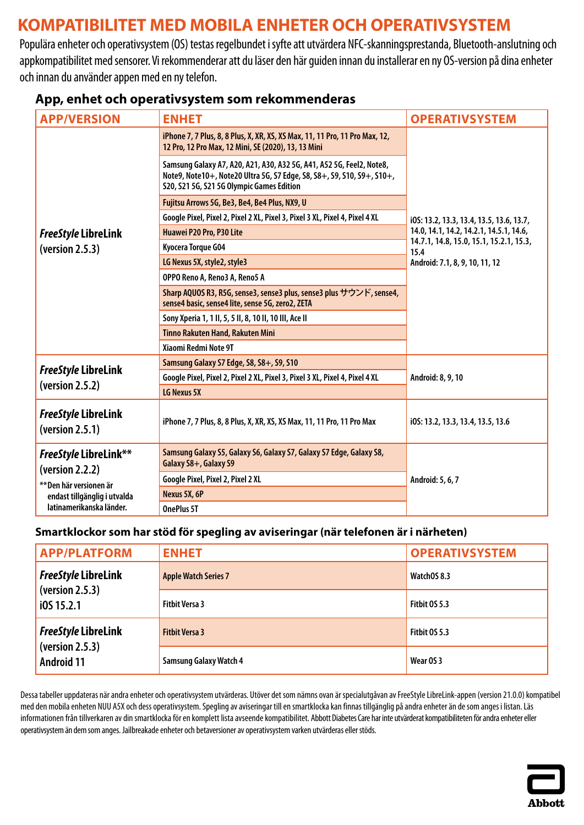# <span id="page-4-0"></span>**KOMPATIBILITET MED MOBILA ENHETER OCH OPERATIVSYSTEM**

Populära enheter och operativsystem (OS) testas regelbundet i syfte att utvärdera NFC-skanningsprestanda, Bluetooth-anslutning och appkompatibilitet med sensorer. Vi rekommenderar att du läser den här guiden innan du installerar en ny OS-version på dina enheter och innan du använder appen med en ny telefon.

| <b>APP/VERSION</b>                                                                                                              | <b>ENHET</b>                                                                                                                                                                                | <b>OPERATIVSYSTEM</b>                           |
|---------------------------------------------------------------------------------------------------------------------------------|---------------------------------------------------------------------------------------------------------------------------------------------------------------------------------------------|-------------------------------------------------|
|                                                                                                                                 | iPhone 7, 7 Plus, 8, 8 Plus, X, XR, XS, XS Max, 11, 11 Pro, 11 Pro Max, 12,<br>12 Pro, 12 Pro Max, 12 Mini, SE (2020), 13, 13 Mini                                                          |                                                 |
|                                                                                                                                 | Samsung Galaxy A7, A20, A21, A30, A32 5G, A41, A52 5G, Feel2, Note8,<br>Note9, Note10+, Note20 Ultra 5G, S7 Edge, S8, S8+, S9, S10, S9+, S10+,<br>S20, S21 5G, S21 5G Olympic Games Edition |                                                 |
|                                                                                                                                 | Fujitsu Arrows 5G, Be3, Be4, Be4 Plus, NX9, U                                                                                                                                               |                                                 |
|                                                                                                                                 | Google Pixel, Pixel 2, Pixel 2 XL, Pixel 3, Pixel 3 XL, Pixel 4, Pixel 4 XL                                                                                                                 | i0S: 13.2, 13.3, 13.4, 13.5, 13.6, 13.7,        |
| <b>FreeStyle LibreLink</b>                                                                                                      | Huawei P20 Pro, P30 Lite                                                                                                                                                                    | 14.0, 14.1, 14.2, 14.2.1, 14.5.1, 14.6,         |
| (version 2.5.3)                                                                                                                 | Kyocera Torque G04                                                                                                                                                                          | 14.7.1, 14.8, 15.0, 15.1, 15.2.1, 15.3,<br>15.4 |
|                                                                                                                                 | LG Nexus 5X, style2, style3                                                                                                                                                                 | Android: 7.1, 8, 9, 10, 11, 12                  |
|                                                                                                                                 | OPPO Reno A, Reno3 A, Reno5 A                                                                                                                                                               |                                                 |
|                                                                                                                                 | Sharp AQUOS R3, R5G, sense3, sense3 plus, sense3 plus サウンド, sense4,<br>sense4 basic, sense4 lite, sense 5G, zero2, ZETA                                                                     |                                                 |
|                                                                                                                                 | Sony Xperia 1, 1 II, 5, 5 II, 8, 10 II, 10 III, Ace II                                                                                                                                      |                                                 |
|                                                                                                                                 | Tinno Rakuten Hand, Rakuten Mini                                                                                                                                                            |                                                 |
|                                                                                                                                 | Xiaomi Redmi Note 9T                                                                                                                                                                        |                                                 |
|                                                                                                                                 | Samsung Galaxy S7 Edge, S8, S8+, S9, S10                                                                                                                                                    |                                                 |
| <b>FreeStyle LibreLink</b>                                                                                                      | Google Pixel, Pixel 2, Pixel 2 XL, Pixel 3, Pixel 3 XL, Pixel 4, Pixel 4 XL                                                                                                                 | Android: 8, 9, 10                               |
| (yersion 2.5.2)                                                                                                                 | LG Nexus 5X                                                                                                                                                                                 |                                                 |
| <b>FreeStyle LibreLink</b><br>(version 2.5.1)                                                                                   | iPhone 7, 7 Plus, 8, 8 Plus, X, XR, XS, XS Max, 11, 11 Pro, 11 Pro Max                                                                                                                      | i0S: 13.2, 13.3, 13.4, 13.5, 13.6               |
| FreeStyle LibreLink**<br>(yersion 2.2.2)<br>** Den här versionen är<br>endast tillgänglig i utvalda<br>latinamerikanska länder. | Samsung Galaxy S5, Galaxy S6, Galaxy S7, Galaxy S7 Edge, Galaxy S8,<br>Galaxy S8+, Galaxy S9                                                                                                |                                                 |
|                                                                                                                                 | Google Pixel, Pixel 2, Pixel 2 XL                                                                                                                                                           | Android: 5, 6, 7                                |
|                                                                                                                                 | Nexus 5X, 6P                                                                                                                                                                                |                                                 |
|                                                                                                                                 | OnePlus 5T                                                                                                                                                                                  |                                                 |

#### **App, enhet och operativsystem som rekommenderas**

#### **Smartklockor som har stöd för spegling av aviseringar (när telefonen är i närheten)**

| <b>APP/PLATFORM</b>                                                | <b>ENHET</b>                  | <b>OPERATIVSYSTEM</b> |
|--------------------------------------------------------------------|-------------------------------|-----------------------|
| <b>FreeStyle LibreLink</b><br>(yersion 2.5.3)<br>$i$ 0S 15.2.1     | <b>Apple Watch Series 7</b>   | WatchOS 8.3           |
|                                                                    | <b>Fitbit Versa 3</b>         | Fitbit OS 5.3         |
| <b>FreeStyle LibreLink</b><br>(yersion 2.5.3)<br><b>Android 11</b> | <b>Fitbit Versa 3</b>         | Fitbit 0S 5.3         |
|                                                                    | <b>Samsung Galaxy Watch 4</b> | Wear OS 3             |

Dessa tabeller uppdateras när andra enheter och operativsystem utvärderas. Utöver det som nämns ovan är specialutgåvan av FreeStyle LibreLink-appen (version 21.0.0) kompatibel med den mobila enheten NUU A5X och dess operativsystem. Spegling av aviseringar till en smartklocka kan finnas tillgänglig på andra enheter än de som anges i listan. Läs informationen från tillverkaren av din smartklocka för en komplett lista avseende kompatibilitet. Abbott Diabetes Care har inte utvärderat kompatibiliteten för andra enheter eller operativsystem än dem som anges. Jailbreakade enheter och betaversioner av operativsystem varken utvärderas eller stöds.

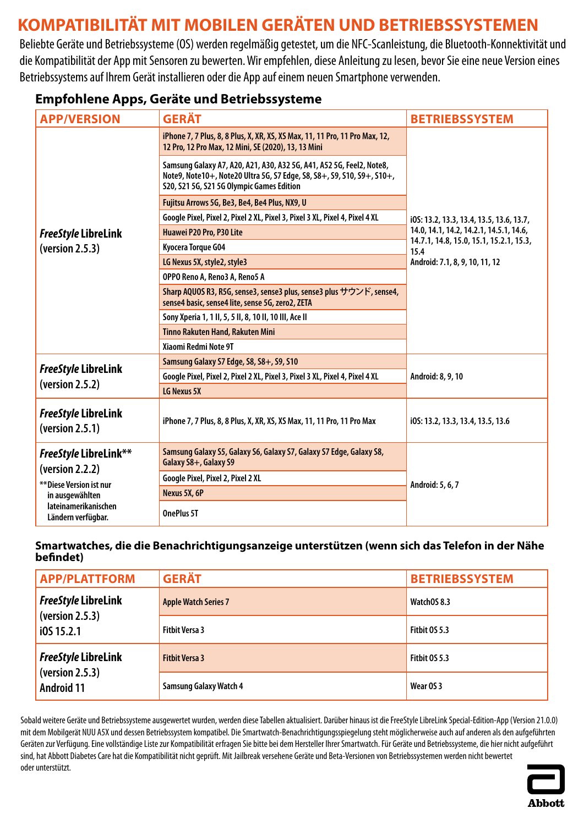# <span id="page-5-0"></span>**KOMPATIBILITÄT MIT MOBILEN GERÄTEN UND BETRIEBSSYSTEMEN**

Beliebte Geräte und Betriebssysteme (OS) werden regelmäßig getestet, um die NFC-Scanleistung, die Bluetooth-Konnektivität und die Kompatibilität der App mit Sensoren zu bewerten. Wir empfehlen, diese Anleitung zu lesen, bevor Sie eine neue Version eines Betriebssystems auf Ihrem Gerät installieren oder die App auf einem neuen Smartphone verwenden.

### **Empfohlene Apps, Geräte und Betriebssysteme**

| <b>APP/VERSION</b>                                                                             | <b>GERÄT</b>                                                                                                                                                                                | <b>BETRIEBSSYSTEM</b>                           |
|------------------------------------------------------------------------------------------------|---------------------------------------------------------------------------------------------------------------------------------------------------------------------------------------------|-------------------------------------------------|
|                                                                                                | iPhone 7, 7 Plus, 8, 8 Plus, X, XR, XS, XS Max, 11, 11 Pro, 11 Pro Max, 12,<br>12 Pro, 12 Pro Max, 12 Mini, SE (2020), 13, 13 Mini                                                          |                                                 |
|                                                                                                | Samsung Galaxy A7, A20, A21, A30, A32 5G, A41, A52 5G, Feel2, Note8,<br>Note9, Note10+, Note20 Ultra 5G, S7 Edge, S8, S8+, S9, S10, S9+, S10+,<br>S20, S21 5G, S21 5G Olympic Games Edition |                                                 |
|                                                                                                | Fujitsu Arrows 5G, Be3, Be4, Be4 Plus, NX9, U                                                                                                                                               |                                                 |
|                                                                                                | Google Pixel, Pixel 2, Pixel 2 XL, Pixel 3, Pixel 3 XL, Pixel 4, Pixel 4 XL                                                                                                                 | i0S: 13.2, 13.3, 13.4, 13.5, 13.6, 13.7,        |
| <b>FreeStyle LibreLink</b>                                                                     | Huawei P20 Pro, P30 Lite                                                                                                                                                                    | 14.0, 14.1, 14.2, 14.2.1, 14.5.1, 14.6,         |
| (yersion 2.5.3)                                                                                | Kyocera Torque G04                                                                                                                                                                          | 14.7.1, 14.8, 15.0, 15.1, 15.2.1, 15.3,<br>15.4 |
|                                                                                                | LG Nexus 5X, style2, style3                                                                                                                                                                 | Android: 7.1, 8, 9, 10, 11, 12                  |
|                                                                                                | OPPO Reno A, Reno3 A, Reno5 A                                                                                                                                                               |                                                 |
|                                                                                                | Sharp AQUOS R3, R5G, sense3, sense3 plus, sense3 plus サウンド, sense4,<br>sense4 basic, sense4 lite, sense 5G, zero2, ZETA                                                                     |                                                 |
|                                                                                                | Sony Xperia 1, 1 II, 5, 5 II, 8, 10 II, 10 III, Ace II                                                                                                                                      |                                                 |
|                                                                                                | Tinno Rakuten Hand, Rakuten Mini                                                                                                                                                            |                                                 |
|                                                                                                | Xiaomi Redmi Note 9T                                                                                                                                                                        |                                                 |
|                                                                                                | Samsung Galaxy S7 Edge, S8, S8+, S9, S10                                                                                                                                                    |                                                 |
| <b>FreeStyle LibreLink</b>                                                                     | Google Pixel, Pixel 2, Pixel 2 XL, Pixel 3, Pixel 3 XL, Pixel 4, Pixel 4 XL                                                                                                                 | Android: 8, 9, 10                               |
| (yersion 2.5.2)                                                                                | <b>LG Nexus 5X</b>                                                                                                                                                                          |                                                 |
| <b>FreeStyle LibreLink</b><br>(yersion 2.5.1)                                                  | iPhone 7, 7 Plus, 8, 8 Plus, X, XR, XS, XS Max, 11, 11 Pro, 11 Pro Max                                                                                                                      | i0S: 13.2, 13.3, 13.4, 13.5, 13.6               |
| <b>FreeStyle LibreLink**</b><br>(yersion 2.2.2)<br>** Diese Version ist nur<br>in ausgewählten | Samsung Galaxy S5, Galaxy S6, Galaxy S7, Galaxy S7 Edge, Galaxy S8,<br>Galaxy S8+, Galaxy S9                                                                                                |                                                 |
|                                                                                                | Google Pixel, Pixel 2, Pixel 2 XL                                                                                                                                                           |                                                 |
|                                                                                                | Nexus 5X, 6P                                                                                                                                                                                | Android: 5, 6, 7                                |
| lateinamerikanischen<br>Ländern verfügbar.                                                     | OnePlus 5T                                                                                                                                                                                  |                                                 |

#### **Smartwatches, die die Benachrichtigungsanzeige unterstützen (wenn sich das Telefon in der Nähe befindet)**

| <b>APP/PLATTFORM</b>                                               | <b>GERÄT</b>                  | <b>BETRIEBSSYSTEM</b> |
|--------------------------------------------------------------------|-------------------------------|-----------------------|
| <b>FreeStyle LibreLink</b><br>(yersion 2.5.3)<br>$i$ 0S 15.2.1     | <b>Apple Watch Series 7</b>   | WatchOS 8.3           |
|                                                                    | <b>Fitbit Versa 3</b>         | <b>Fitbit 0S 5.3</b>  |
| <b>FreeStyle LibreLink</b><br>(yersion 2.5.3)<br><b>Android 11</b> | <b>Fitbit Versa 3</b>         | Fitbit OS 5.3         |
|                                                                    | <b>Samsung Galaxy Watch 4</b> | Wear OS 3             |

Sobald weitere Geräte und Betriebssysteme ausgewertet wurden, werden diese Tabellen aktualisiert. Darüber hinaus ist die FreeStyle LibreLink Special-Edition-App (Version 21.0.0) mit dem Mobilgerät NUU A5X und dessen Betriebssystem kompatibel. Die Smartwatch-Benachrichtigungsspiegelung steht möglicherweise auch auf anderen als den aufgeführten Geräten zur Verfügung. Eine vollständige Liste zur Kompatibilität erfragen Sie bitte bei dem Hersteller Ihrer Smartwatch. Für Geräte und Betriebssysteme, die hier nicht aufgeführt sind, hat Abbott Diabetes Care hat die Kompatibilität nicht geprüft. Mit Jailbreak versehene Geräte und Beta-Versionen von Betriebssystemen werden nicht bewertet oder unterstützt.

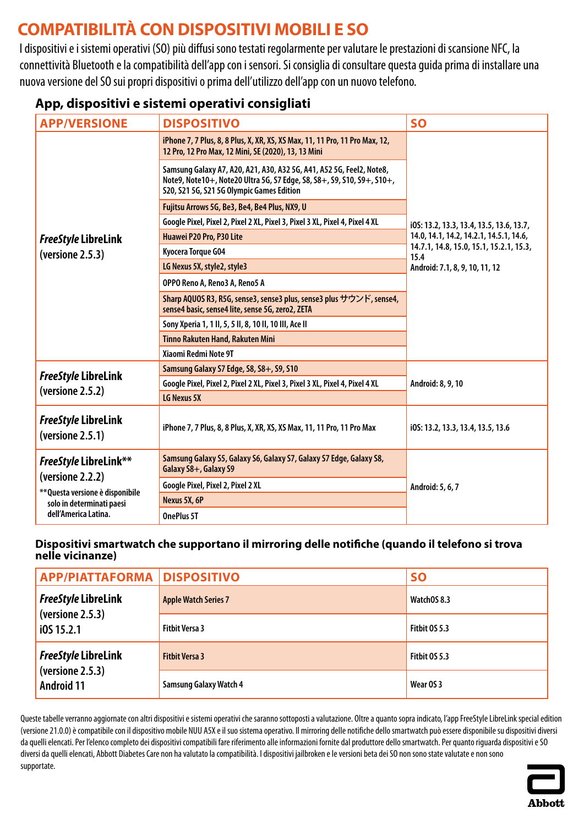# <span id="page-6-0"></span>**COMPATIBILITÀ CON DISPOSITIVI MOBILI E SO**

I dispositivi e i sistemi operativi (SO) più diffusi sono testati regolarmente per valutare le prestazioni di scansione NFC, la connettività Bluetooth e la compatibilità dell'app con i sensori. Si consiglia di consultare questa guida prima di installare una nuova versione del SO sui propri dispositivi o prima dell'utilizzo dell'app con un nuovo telefono.

### **App, dispositivi e sistemi operativi consigliati**

| <b>APP/VERSIONE</b>                                                                                                                       | <b>DISPOSITIVO</b>                                                                                                                                                                          | <b>SO</b>                                       |
|-------------------------------------------------------------------------------------------------------------------------------------------|---------------------------------------------------------------------------------------------------------------------------------------------------------------------------------------------|-------------------------------------------------|
|                                                                                                                                           | iPhone 7, 7 Plus, 8, 8 Plus, X, XR, XS, XS Max, 11, 11 Pro, 11 Pro Max, 12,<br>12 Pro, 12 Pro Max, 12 Mini, SE (2020), 13, 13 Mini                                                          |                                                 |
|                                                                                                                                           | Samsung Galaxy A7, A20, A21, A30, A32 5G, A41, A52 5G, Feel2, Note8,<br>Note9, Note10+, Note20 Ultra 5G, S7 Edge, S8, S8+, S9, S10, S9+, S10+,<br>S20, S21 5G, S21 5G Olympic Games Edition |                                                 |
|                                                                                                                                           | Fujitsu Arrows 5G, Be3, Be4, Be4 Plus, NX9, U                                                                                                                                               |                                                 |
|                                                                                                                                           | Google Pixel, Pixel 2, Pixel 2 XL, Pixel 3, Pixel 3 XL, Pixel 4, Pixel 4 XL                                                                                                                 | i0S: 13.2, 13.3, 13.4, 13.5, 13.6, 13.7,        |
| <b>FreeStyle LibreLink</b>                                                                                                                | Huawei P20 Pro, P30 Lite                                                                                                                                                                    | 14.0, 14.1, 14.2, 14.2.1, 14.5.1, 14.6,         |
| (versione 2.5.3)                                                                                                                          | Kyocera Torque G04                                                                                                                                                                          | 14.7.1, 14.8, 15.0, 15.1, 15.2.1, 15.3,<br>15.4 |
|                                                                                                                                           | LG Nexus 5X, style2, style3                                                                                                                                                                 | Android: 7.1, 8, 9, 10, 11, 12                  |
|                                                                                                                                           | OPPO Reno A, Reno3 A, Reno5 A                                                                                                                                                               |                                                 |
|                                                                                                                                           | Sharp AQUOS R3, R5G, sense3, sense3 plus, sense3 plus サウンド, sense4,<br>sense4 basic, sense4 lite, sense 5G, zero2, ZETA                                                                     |                                                 |
|                                                                                                                                           | Sony Xperia 1, 1 II, 5, 5 II, 8, 10 II, 10 III, Ace II                                                                                                                                      |                                                 |
|                                                                                                                                           | Tinno Rakuten Hand, Rakuten Mini                                                                                                                                                            |                                                 |
|                                                                                                                                           | Xiaomi Redmi Note 9T                                                                                                                                                                        |                                                 |
|                                                                                                                                           | Samsung Galaxy S7 Edge, S8, S8+, S9, S10                                                                                                                                                    |                                                 |
| <b>FreeStyle LibreLink</b>                                                                                                                | Google Pixel, Pixel 2, Pixel 2 XL, Pixel 3, Pixel 3 XL, Pixel 4, Pixel 4 XL                                                                                                                 | Android: 8, 9, 10                               |
| (versione 2.5.2)                                                                                                                          | LG Nexus 5X                                                                                                                                                                                 |                                                 |
| <b>FreeStyle LibreLink</b><br>(versione 2.5.1)                                                                                            | iPhone 7, 7 Plus, 8, 8 Plus, X, XR, XS, XS Max, 11, 11 Pro, 11 Pro Max                                                                                                                      | i0S: 13.2, 13.3, 13.4, 13.5, 13.6               |
| <b>FreeStyle LibreLink**</b><br>(versione 2.2.2)<br>** Questa versione è disponibile<br>solo in determinati paesi<br>dell'America Latina. | Samsung Galaxy S5, Galaxy S6, Galaxy S7, Galaxy S7 Edge, Galaxy S8,<br>Galaxy S8+, Galaxy S9                                                                                                |                                                 |
|                                                                                                                                           | Google Pixel, Pixel 2, Pixel 2 XL                                                                                                                                                           | Android: 5, 6, 7                                |
|                                                                                                                                           | Nexus 5X, 6P                                                                                                                                                                                |                                                 |
|                                                                                                                                           | OnePlus 5T                                                                                                                                                                                  |                                                 |

#### **Dispositivi smartwatch che supportano il mirroring delle notifiche (quando il telefono si trova nelle vicinanze)**

| <b>APP/PIATTAFORMA DISPOSITIVO</b>                                  |                               | <b>SO</b>     |
|---------------------------------------------------------------------|-------------------------------|---------------|
| <b>FreeStyle LibreLink</b><br>(versione 2.5.3)<br>10515.2.1         | <b>Apple Watch Series 7</b>   | WatchOS 8.3   |
|                                                                     | <b>Fitbit Versa 3</b>         | Fitbit 0S 5.3 |
| <b>FreeStyle LibreLink</b><br>(versione 2.5.3)<br><b>Android 11</b> | <b>Fitbit Versa 3</b>         | Fitbit OS 5.3 |
|                                                                     | <b>Samsung Galaxy Watch 4</b> | Wear OS 3     |

Queste tabelle verranno aggiornate con altri dispositivi e sistemi operativi che saranno sottoposti a valutazione. Oltre a quanto sopra indicato, l'app FreeStyle LibreLink special edition (versione 21.0.0) è compatibile con il dispositivo mobile NUU A5X e il suo sistema operativo. Il mirroring delle notifiche dello smartwatch può essere disponibile su dispositivi diversi da quelli elencati. Per l'elenco completo dei dispositivi compatibili fare riferimento alle informazioni fornite dal produttore dello smartwatch. Per quanto riguarda dispositivi e SO diversi da quelli elencati, Abbott Diabetes Care non ha valutato la compatibilità. I dispositivi jailbroken e le versioni beta dei SO non sono state valutate e non sono supportate.

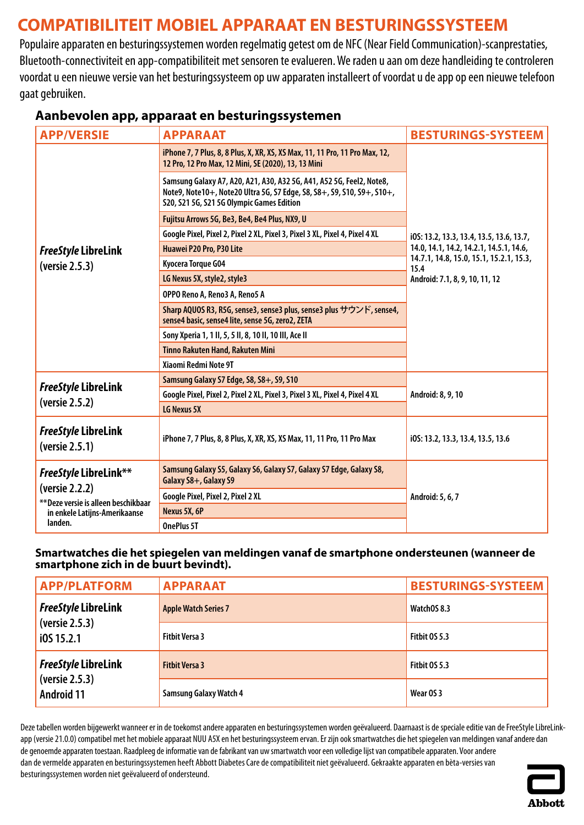# <span id="page-7-0"></span>**COMPATIBILITEIT MOBIEL APPARAAT EN BESTURINGSSYSTEEM**

Populaire apparaten en besturingssystemen worden regelmatig getest om de NFC (Near Field Communication)-scanprestaties, Bluetooth-connectiviteit en app-compatibiliteit met sensoren te evalueren. We raden u aan om deze handleiding te controleren voordat u een nieuwe versie van het besturingssysteem op uw apparaten installeert of voordat u de app op een nieuwe telefoon gaat gebruiken.

| <b>APP/VERSIE</b>                                                                                                                  | <b>APPARAAT</b>                                                                                                                                                                             | <b>BESTURINGS-SYSTEEM</b>                       |
|------------------------------------------------------------------------------------------------------------------------------------|---------------------------------------------------------------------------------------------------------------------------------------------------------------------------------------------|-------------------------------------------------|
|                                                                                                                                    | iPhone 7, 7 Plus, 8, 8 Plus, X, XR, XS, XS Max, 11, 11 Pro, 11 Pro Max, 12,<br>12 Pro, 12 Pro Max, 12 Mini, SE (2020), 13, 13 Mini                                                          |                                                 |
|                                                                                                                                    | Samsung Galaxy A7, A20, A21, A30, A32 5G, A41, A52 5G, Feel2, Note8,<br>Note9, Note10+, Note20 Ultra 5G, S7 Edge, S8, S8+, S9, S10, S9+, S10+,<br>S20, S21 5G, S21 5G Olympic Games Edition |                                                 |
|                                                                                                                                    | Fujitsu Arrows 5G, Be3, Be4, Be4 Plus, NX9, U                                                                                                                                               |                                                 |
|                                                                                                                                    | Google Pixel, Pixel 2, Pixel 2 XL, Pixel 3, Pixel 3 XL, Pixel 4, Pixel 4 XL                                                                                                                 | i0S: 13.2, 13.3, 13.4, 13.5, 13.6, 13.7,        |
| <b>FreeStyle LibreLink</b>                                                                                                         | Huawei P20 Pro, P30 Lite                                                                                                                                                                    | 14.0, 14.1, 14.2, 14.2.1, 14.5.1, 14.6,         |
| (versie 2.5.3)                                                                                                                     | Kyocera Torque G04                                                                                                                                                                          | 14.7.1, 14.8, 15.0, 15.1, 15.2.1, 15.3,<br>15.4 |
|                                                                                                                                    | LG Nexus 5X, style2, style3                                                                                                                                                                 | Android: 7.1, 8, 9, 10, 11, 12                  |
|                                                                                                                                    | OPPO Reno A, Reno3 A, Reno5 A                                                                                                                                                               |                                                 |
|                                                                                                                                    | Sharp AQUOS R3, R5G, sense3, sense3 plus, sense3 plus サウンド, sense4,<br>sense4 basic, sense4 lite, sense 5G, zero2, ZETA                                                                     |                                                 |
|                                                                                                                                    | Sony Xperia 1, 1 II, 5, 5 II, 8, 10 II, 10 III, Ace II                                                                                                                                      |                                                 |
|                                                                                                                                    | <b>Tinno Rakuten Hand, Rakuten Mini</b>                                                                                                                                                     |                                                 |
|                                                                                                                                    | Xiaomi Redmi Note 9T                                                                                                                                                                        |                                                 |
| <b>FreeStyle LibreLink</b>                                                                                                         | Samsung Galaxy S7 Edge, S8, S8+, S9, S10                                                                                                                                                    |                                                 |
| (versie 2.5.2)                                                                                                                     | Google Pixel, Pixel 2, Pixel 2 XL, Pixel 3, Pixel 3 XL, Pixel 4, Pixel 4 XL                                                                                                                 | Android: 8, 9, 10                               |
|                                                                                                                                    | LG Nexus 5X                                                                                                                                                                                 |                                                 |
| FreeStyle LibreLink<br>(versie 2.5.1)                                                                                              | iPhone 7, 7 Plus, 8, 8 Plus, X, XR, XS, XS Max, 11, 11 Pro, 11 Pro Max                                                                                                                      | i0S: 13.2, 13.3, 13.4, 13.5, 13.6               |
| <b>FreeStyle LibreLink**</b><br>(versie 2.2.2)<br>** Deze versie is alleen beschikbaar<br>in enkele Latijns-Amerikaanse<br>landen. | Samsung Galaxy S5, Galaxy S6, Galaxy S7, Galaxy S7 Edge, Galaxy S8,<br>Galaxy S8+, Galaxy S9                                                                                                | Android: 5, 6, 7                                |
|                                                                                                                                    | Google Pixel, Pixel 2, Pixel 2 XL                                                                                                                                                           |                                                 |
|                                                                                                                                    | Nexus 5X, 6P                                                                                                                                                                                |                                                 |
|                                                                                                                                    | OnePlus 5T                                                                                                                                                                                  |                                                 |

### **Aanbevolen app, apparaat en besturingssystemen**

#### **Smartwatches die het spiegelen van meldingen vanaf de smartphone ondersteunen (wanneer de smartphone zich in de buurt bevindt).**

| <b>APP/PLATFORM</b>                                               | <b>APPARAAT</b>               | <b>BESTURINGS-SYSTEEM</b> |
|-------------------------------------------------------------------|-------------------------------|---------------------------|
| <b>FreeStyle LibreLink</b><br>(versie 2.5.3)<br>i0S 15.2.1        | <b>Apple Watch Series 7</b>   | WatchOS 8.3               |
|                                                                   | <b>Fitbit Versa 3</b>         | Fitbit OS 5.3             |
| <b>FreeStyle LibreLink</b><br>(versie 2.5.3)<br><b>Android 11</b> | <b>Fitbit Versa 3</b>         | Fitbit OS 5.3             |
|                                                                   | <b>Samsung Galaxy Watch 4</b> | Wear OS 3                 |

Deze tabellen worden bijgewerkt wanneer er in de toekomst andere apparaten en besturingssystemen worden geëvalueerd. Daarnaast is de speciale editie van de FreeStyle LibreLinkapp (versie 21.0.0) compatibel met het mobiele apparaat NUU A5X en het besturingssysteem ervan. Er zijn ook smartwatches die het spiegelen van meldingen vanaf andere dan de genoemde apparaten toestaan. Raadpleeg de informatie van de fabrikant van uw smartwatch voor een volledige lijst van compatibele apparaten. Voor andere dan de vermelde apparaten en besturingssystemen heeft Abbott Diabetes Care de compatibiliteit niet geëvalueerd. Gekraakte apparaten en bèta-versies van besturingssystemen worden niet geëvalueerd of ondersteund.

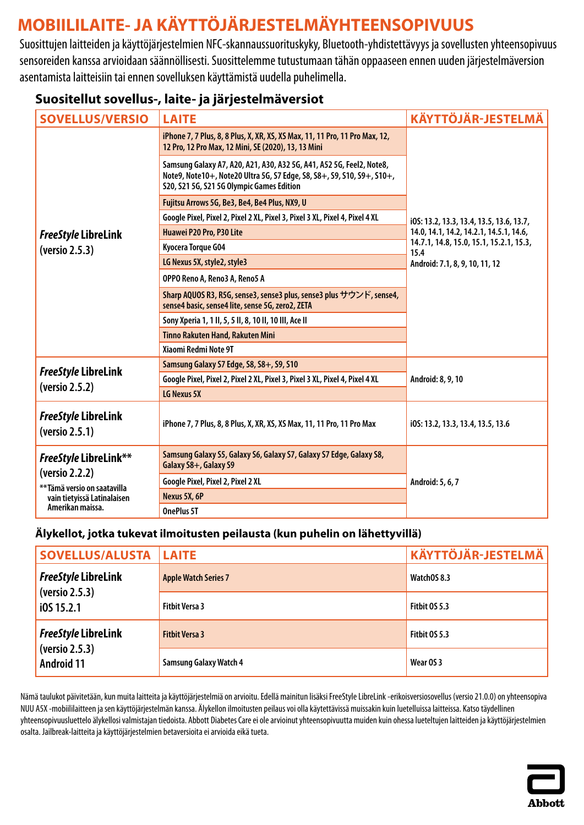# <span id="page-8-0"></span>**MOBIILILAITE- JA KÄYTTÖJÄRJESTELMÄYHTEENSOPIVUUS**

Suosittujen laitteiden ja käyttöjärjestelmien NFC-skannaussuorituskyky, Bluetooth-yhdistettävyys ja sovellusten yhteensopivuus sensoreiden kanssa arvioidaan säännöllisesti. Suosittelemme tutustumaan tähän oppaaseen ennen uuden järjestelmäversion asentamista laitteisiin tai ennen sovelluksen käyttämistä uudella puhelimella.

### **Suositellut sovellus-, laite- ja järjestelmäversiot**

| <b>SOVELLUS/VERSIO</b>                                                                                                           | <b>LAITE</b>                                                                                                                                                                                | <b>KÄYTTÖJÄR-JESTELMÄ</b>                             |
|----------------------------------------------------------------------------------------------------------------------------------|---------------------------------------------------------------------------------------------------------------------------------------------------------------------------------------------|-------------------------------------------------------|
|                                                                                                                                  | iPhone 7, 7 Plus, 8, 8 Plus, X, XR, XS, XS Max, 11, 11 Pro, 11 Pro Max, 12,<br>12 Pro, 12 Pro Max, 12 Mini, SE (2020), 13, 13 Mini                                                          |                                                       |
|                                                                                                                                  | Samsung Galaxy A7, A20, A21, A30, A32 5G, A41, A52 5G, Feel2, Note8,<br>Note9, Note10+, Note20 Ultra 5G, S7 Edge, S8, S8+, S9, S10, S9+, S10+,<br>S20, S21 5G, S21 5G Olympic Games Edition |                                                       |
|                                                                                                                                  | Fujitsu Arrows 5G, Be3, Be4, Be4 Plus, NX9, U                                                                                                                                               |                                                       |
|                                                                                                                                  | Google Pixel, Pixel 2, Pixel 2 XL, Pixel 3, Pixel 3 XL, Pixel 4, Pixel 4 XL                                                                                                                 | i0S: 13.2, 13.3, 13.4, 13.5, 13.6, 13.7,              |
| <b>FreeStyle LibreLink</b>                                                                                                       | Huawei P20 Pro, P30 Lite                                                                                                                                                                    | 14.0, 14.1, 14.2, 14.2.1, 14.5.1, 14.6,               |
| (versio 2.5.3)                                                                                                                   | Kyocera Torque G04                                                                                                                                                                          | 14.7.1, 14.8, 15.0, 15.1, 15.2.1, 15.3,<br>15.4       |
|                                                                                                                                  | LG Nexus 5X, style2, style3                                                                                                                                                                 | Android: 7.1, 8, 9, 10, 11, 12                        |
|                                                                                                                                  | OPPO Reno A, Reno3 A, Reno5 A                                                                                                                                                               |                                                       |
|                                                                                                                                  | Sharp AQUOS R3, R5G, sense3, sense3 plus, sense3 plus サウンド, sense4,<br>sense4 basic, sense4 lite, sense 5G, zero2, ZETA                                                                     |                                                       |
|                                                                                                                                  | Sony Xperia 1, 1 II, 5, 5 II, 8, 10 II, 10 III, Ace II                                                                                                                                      |                                                       |
|                                                                                                                                  | <b>Tinno Rakuten Hand, Rakuten Mini</b>                                                                                                                                                     |                                                       |
|                                                                                                                                  | Xiaomi Redmi Note 9T                                                                                                                                                                        |                                                       |
| <b>FreeStyle LibreLink</b>                                                                                                       | Samsung Galaxy S7 Edge, S8, S8+, S9, S10                                                                                                                                                    | Android: 8, 9, 10                                     |
| (versio 2.5.2)                                                                                                                   | Google Pixel, Pixel 2, Pixel 2 XL, Pixel 3, Pixel 3 XL, Pixel 4, Pixel 4 XL                                                                                                                 |                                                       |
|                                                                                                                                  | LG Nexus 5X                                                                                                                                                                                 |                                                       |
| FreeStyle LibreLink<br>(versio 2.5.1)                                                                                            | iPhone 7, 7 Plus, 8, 8 Plus, X, XR, XS, XS Max, 11, 11 Pro, 11 Pro Max                                                                                                                      | i0S: 13.2, 13.3, 13.4, 13.5, 13.6<br>Android: 5, 6, 7 |
| <b>FreeStyle LibreLink**</b><br>(versio 2.2.2)<br>**Tämä versio on saatavilla<br>vain tietyissä Latinalaisen<br>Amerikan maissa. | Samsung Galaxy S5, Galaxy S6, Galaxy S7, Galaxy S7 Edge, Galaxy S8,<br>Galaxy S8+, Galaxy S9                                                                                                |                                                       |
|                                                                                                                                  | Google Pixel, Pixel 2, Pixel 2 XL                                                                                                                                                           |                                                       |
|                                                                                                                                  | Nexus 5X, 6P                                                                                                                                                                                |                                                       |
|                                                                                                                                  | OnePlus 5T                                                                                                                                                                                  |                                                       |

#### **Älykellot, jotka tukevat ilmoitusten peilausta (kun puhelin on lähettyvillä)**

| <b>SOVELLUS/ALUSTA LAITE</b>                                      |                               | <b>KÄYTTÖJÄR-JESTELMÄ</b> |
|-------------------------------------------------------------------|-------------------------------|---------------------------|
| <b>FreeStyle LibreLink</b><br>(versio 2.5.3)<br>i0S 15.2.1        | <b>Apple Watch Series 7</b>   | WatchOS 8.3               |
|                                                                   | <b>Fitbit Versa 3</b>         | Fitbit OS 5.3             |
| <b>FreeStyle LibreLink</b><br>(versio 2.5.3)<br><b>Android 11</b> | <b>Fitbit Versa 3</b>         | Fitbit OS 5.3             |
|                                                                   | <b>Samsung Galaxy Watch 4</b> | Wear OS 3                 |

Nämä taulukot päivitetään, kun muita laitteita ja käyttöjärjestelmiä on arvioitu. Edellä mainitun lisäksi FreeStyle LibreLink -erikoisversiosovellus (versio 21.0.0) on yhteensopiva NUU A5X -mobiililaitteen ja sen käyttöjärjestelmän kanssa. Älykellon ilmoitusten peilaus voi olla käytettävissä muissakin kuin luetelluissa laitteissa. Katso täydellinen yhteensopivuusluettelo älykellosi valmistajan tiedoista. Abbott Diabetes Care ei olearvioinut yhteensopivuutta muiden kuin ohessa lueteltujen laitteiden ja käyttöjärjestelmien osalta. Jailbreak-laitteita ja käyttöjärjestelmien betaversioita ei arvioida eikä tueta.

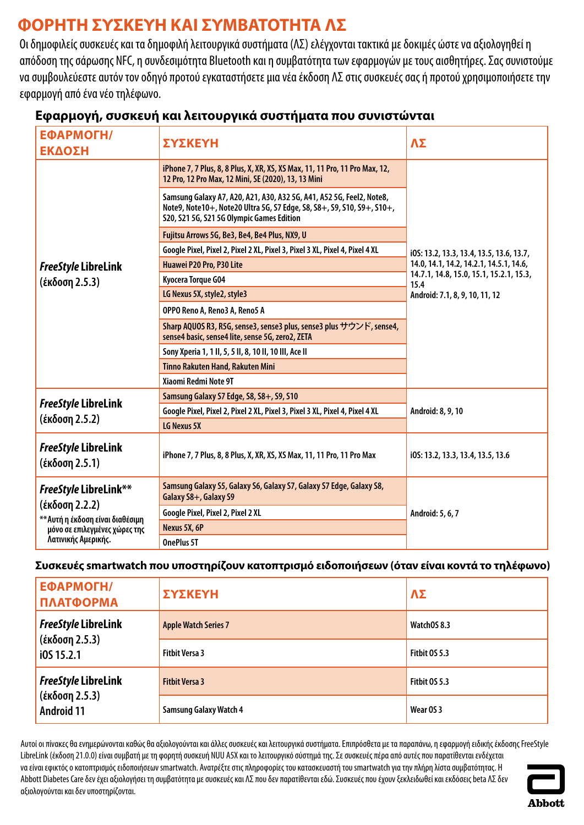# <span id="page-9-0"></span>**ΦΟΡΗΤΗ ΣΥΣΚΕΥΗ ΚΑΙ ΣΥΜΒΑΤΟΤΗΤΑ ΛΣ**

Οι δημοφιλείς συσκευές και τα δημοφιλή λειτουργικά συστήματα (ΛΣ) ελέγχονται τακτικά με δοκιμές ώστε να αξιολογηθεί η απόδοση της σάρωσης NFC, η συνδεσιμότητα Bluetooth και η συμβατότητα των εφαρμογών με τους αισθητήρες. Σας συνιστούμε να συμβουλεύεστε αυτόν τον οδηγό προτού εγκαταστήσετε μια νέα έκδοση ΛΣ στις συσκευές σας ή προτού χρησιμοποιήσετε την εφαρμογή από ένα νέο τηλέφωνο.

| ΕΦΑΡΜΟΓΗ/<br>ΕΚΔΟΣΗ                                                                                                                        | ΣΥΣΚΕΥΗ                                                                                                                                                                                     | ΛΣ                                              |
|--------------------------------------------------------------------------------------------------------------------------------------------|---------------------------------------------------------------------------------------------------------------------------------------------------------------------------------------------|-------------------------------------------------|
|                                                                                                                                            | iPhone 7, 7 Plus, 8, 8 Plus, X, XR, XS, XS Max, 11, 11 Pro, 11 Pro Max, 12,<br>12 Pro, 12 Pro Max, 12 Mini, SE (2020), 13, 13 Mini                                                          |                                                 |
|                                                                                                                                            | Samsung Galaxy A7, A20, A21, A30, A32 5G, A41, A52 5G, Feel2, Note8,<br>Note9, Note10+, Note20 Ultra 5G, S7 Edge, S8, S8+, S9, S10, S9+, S10+,<br>S20, S21 5G, S21 5G Olympic Games Edition |                                                 |
|                                                                                                                                            | Fujitsu Arrows 5G, Be3, Be4, Be4 Plus, NX9, U                                                                                                                                               |                                                 |
|                                                                                                                                            | Google Pixel, Pixel 2, Pixel 2 XL, Pixel 3, Pixel 3 XL, Pixel 4, Pixel 4 XL                                                                                                                 | i0S: 13.2, 13.3, 13.4, 13.5, 13.6, 13.7,        |
| <b>FreeStyle LibreLink</b>                                                                                                                 | Huawei P20 Pro, P30 Lite                                                                                                                                                                    | 14.0, 14.1, 14.2, 14.2.1, 14.5.1, 14.6,         |
| (έκδοση 2.5.3)                                                                                                                             | Kyocera Torque G04                                                                                                                                                                          | 14.7.1, 14.8, 15.0, 15.1, 15.2.1, 15.3,<br>15.4 |
|                                                                                                                                            | LG Nexus 5X, style2, style3                                                                                                                                                                 | Android: 7.1, 8, 9, 10, 11, 12                  |
|                                                                                                                                            | OPPO Reno A, Reno3 A, Reno5 A                                                                                                                                                               |                                                 |
|                                                                                                                                            | Sharp AQUOS R3, R5G, sense3, sense3 plus, sense3 plus サウンド, sense4,<br>sense4 basic, sense4 lite, sense 5G, zero2, ZETA                                                                     |                                                 |
|                                                                                                                                            | Sony Xperia 1, 1 II, 5, 5 II, 8, 10 II, 10 III, Ace II                                                                                                                                      |                                                 |
|                                                                                                                                            | Tinno Rakuten Hand, Rakuten Mini                                                                                                                                                            |                                                 |
|                                                                                                                                            | Xiaomi Redmi Note 9T                                                                                                                                                                        |                                                 |
|                                                                                                                                            | Samsung Galaxy S7 Edge, S8, S8+, S9, S10                                                                                                                                                    |                                                 |
| <b>FreeStyle LibreLink</b>                                                                                                                 | Google Pixel, Pixel 2, Pixel 2 XL, Pixel 3, Pixel 3 XL, Pixel 4, Pixel 4 XL                                                                                                                 | Android: 8, 9, 10                               |
| (έκδοση 2.5.2)                                                                                                                             | LG Nexus 5X                                                                                                                                                                                 |                                                 |
| <b>FreeStyle LibreLink</b><br>(έκδοση 2.5.1)                                                                                               | iPhone 7, 7 Plus, 8, 8 Plus, X, XR, XS, XS Max, 11, 11 Pro, 11 Pro Max                                                                                                                      | i0S: 13.2, 13.3, 13.4, 13.5, 13.6               |
| <b>FreeStyle LibreLink**</b><br>(έκδοση 2.2.2)<br>** Αυτή η έκδοση είναι διαθέσιμη<br>μόνο σε επιλεγμένες χώρες της<br>Λατινικής Αμερικής. | Samsung Galaxy S5, Galaxy S6, Galaxy S7, Galaxy S7 Edge, Galaxy S8,<br>Galaxy S8+, Galaxy S9                                                                                                |                                                 |
|                                                                                                                                            | Google Pixel, Pixel 2, Pixel 2 XL                                                                                                                                                           | Android: 5, 6, 7                                |
|                                                                                                                                            | Nexus 5X, 6P                                                                                                                                                                                |                                                 |
|                                                                                                                                            | <b>OnePlus 5T</b>                                                                                                                                                                           |                                                 |

### **Εφαρμογή, συσκευή και λειτουργικά συστήματα που συνιστώνται**

#### **Συσκευές smartwatch που υποστηρίζουν κατοπτρισμό ειδοποιήσεων (όταν είναι κοντά το τηλέφωνο)**

| ΕΦΑΡΜΟΓΗ/<br>ΠΛΑΤΦΟΡΜΑ              | ΣΥΣΚΕΥΗ                       | $\Lambda\Sigma$ |
|-------------------------------------|-------------------------------|-----------------|
| <b>FreeStyle LibreLink</b>          | <b>Apple Watch Series 7</b>   | WatchOS 8.3     |
| (έκδοση 2.5.3)<br>i0S 15.2.1        | <b>Fitbit Versa 3</b>         | Fitbit OS 5.3   |
| <b>FreeStyle LibreLink</b>          | <b>Fitbit Versa 3</b>         | Fitbit OS 5.3   |
| (έκδοση 2.5.3)<br><b>Android 11</b> | <b>Samsung Galaxy Watch 4</b> | Wear OS 3       |

Αυτοί οι πίνακες θα ενημερώνονται καθώς θα αξιολογούνται και άλλες συσκευές και λειτουργικά συστήματα. Επιπρόσθετα με τα παραπάνω, η εφαρμογή ειδικής έκδοσης FreeStyle LibreLink (έκδοση 21.0.0) είναι συμβατή με τη φορητή συσκευή NUU A5X και το λειτουργικό σύστημά της. Σε συσκευές πέρα από αυτές που παρατίθενται ενδέχεται να είναι εφικτός ο κατοπτρισμός ειδοποιήσεων smartwatch. Ανατρέξτε στις πληροφορίες του κατασκευαστή του smartwatch για την πλήρη λίστα συμβατότητας. Η Abbott Diabetes Care δεν έχει αξιολογήσει τη συμβατότητα με συσκευές και ΛΣ που δεν παρατίθενται εδώ. Συσκευές που έχουν ξεκλειδωθεί και εκδόσεις beta ΛΣ δεν αξιολογούνται και δεν υποστηρίζονται.

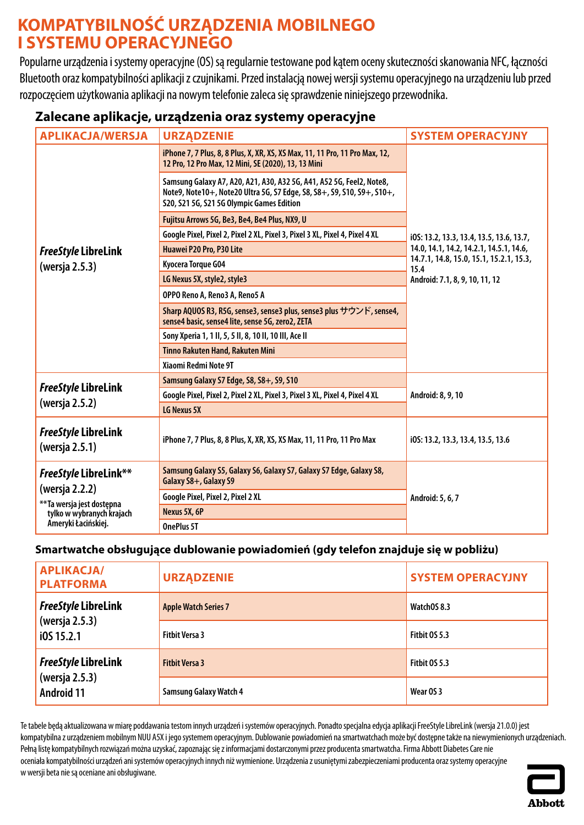## <span id="page-10-0"></span>**KOMPATYBILNOŚĆ URZĄDZENIA MOBILNEGO I SYSTEMU OPERACYJNEGO**

Popularne urządzenia i systemy operacyjne (OS) są regularnie testowane pod kątem oceny skuteczności skanowania NFC, łączności Bluetooth oraz kompatybilności aplikacji z czujnikami. Przed instalacją nowej wersji systemu operacyjnego na urządzeniu lub przed rozpoczęciem użytkowania aplikacji na nowym telefonie zaleca się sprawdzenie niniejszego przewodnika.

### **Zalecane aplikacje, urządzenia oraz systemy operacyjne**

| <b>APLIKACJA/WERSJA</b>                                                                                                          | <b>URZĄDZENIE</b>                                                                                                                                                                           | <b>SYSTEM OPERACYJNY</b>                        |
|----------------------------------------------------------------------------------------------------------------------------------|---------------------------------------------------------------------------------------------------------------------------------------------------------------------------------------------|-------------------------------------------------|
|                                                                                                                                  | iPhone 7, 7 Plus, 8, 8 Plus, X, XR, XS, XS Max, 11, 11 Pro, 11 Pro Max, 12,<br>12 Pro, 12 Pro Max, 12 Mini, SE (2020), 13, 13 Mini                                                          |                                                 |
|                                                                                                                                  | Samsung Galaxy A7, A20, A21, A30, A32 5G, A41, A52 5G, Feel2, Note8,<br>Note9, Note10+, Note20 Ultra 5G, S7 Edge, S8, S8+, S9, S10, S9+, S10+,<br>S20, S21 5G, S21 5G Olympic Games Edition |                                                 |
|                                                                                                                                  | Fujitsu Arrows 5G, Be3, Be4, Be4 Plus, NX9, U                                                                                                                                               |                                                 |
|                                                                                                                                  | Google Pixel, Pixel 2, Pixel 2 XL, Pixel 3, Pixel 3 XL, Pixel 4, Pixel 4 XL                                                                                                                 | i0S: 13.2, 13.3, 13.4, 13.5, 13.6, 13.7,        |
| <b>FreeStyle LibreLink</b>                                                                                                       | Huawei P20 Pro, P30 Lite                                                                                                                                                                    | 14.0, 14.1, 14.2, 14.2.1, 14.5.1, 14.6,         |
| (wersja 2.5.3)                                                                                                                   | Kyocera Torque G04                                                                                                                                                                          | 14.7.1, 14.8, 15.0, 15.1, 15.2.1, 15.3,<br>15.4 |
|                                                                                                                                  | LG Nexus 5X, style2, style3                                                                                                                                                                 | Android: 7.1, 8, 9, 10, 11, 12                  |
|                                                                                                                                  | OPPO Reno A, Reno3 A, Reno5 A                                                                                                                                                               |                                                 |
|                                                                                                                                  | Sharp AQUOS R3, R5G, sense3, sense3 plus, sense3 plus サウンド, sense4,<br>sense4 basic, sense4 lite, sense 5G, zero2, ZETA                                                                     |                                                 |
|                                                                                                                                  | Sony Xperia 1, 1 II, 5, 5 II, 8, 10 II, 10 III, Ace II                                                                                                                                      |                                                 |
|                                                                                                                                  | Tinno Rakuten Hand, Rakuten Mini                                                                                                                                                            |                                                 |
|                                                                                                                                  | Xiaomi Redmi Note 9T                                                                                                                                                                        |                                                 |
|                                                                                                                                  | Samsung Galaxy S7 Edge, S8, S8+, S9, S10                                                                                                                                                    |                                                 |
| <b>FreeStyle LibreLink</b>                                                                                                       | Google Pixel, Pixel 2, Pixel 2 XL, Pixel 3, Pixel 3 XL, Pixel 4, Pixel 4 XL                                                                                                                 | Android: 8, 9, 10                               |
| (wersja 2.5.2)                                                                                                                   | LG Nexus 5X                                                                                                                                                                                 |                                                 |
| <b>FreeStyle LibreLink</b><br>(wersja 2.5.1)                                                                                     | iPhone 7, 7 Plus, 8, 8 Plus, X, XR, XS, XS Max, 11, 11 Pro, 11 Pro Max                                                                                                                      | i0S: 13.2, 13.3, 13.4, 13.5, 13.6               |
| <b>FreeStyle LibreLink**</b><br>(wersja 2.2.2)<br>** Ta wersja jest dostępna<br>tylko w wybranych krajach<br>Ameryki Łacińskiej. | Samsung Galaxy S5, Galaxy S6, Galaxy S7, Galaxy S7 Edge, Galaxy S8,<br>Galaxy S8+, Galaxy S9                                                                                                | Android: 5, 6, 7                                |
|                                                                                                                                  | Google Pixel, Pixel 2, Pixel 2 XL                                                                                                                                                           |                                                 |
|                                                                                                                                  | Nexus 5X, 6P                                                                                                                                                                                |                                                 |
|                                                                                                                                  | OnePlus 5T                                                                                                                                                                                  |                                                 |

#### **Smartwatche obsługujące dublowanie powiadomień (gdy telefon znajduje się w pobliżu)**

| <b>APLIKACJA/</b><br><b>PLATFORMA</b> | <b>URZĄDZENIE</b>             | <b>SYSTEM OPERACYJNY</b> |
|---------------------------------------|-------------------------------|--------------------------|
| <b>FreeStyle LibreLink</b>            | <b>Apple Watch Series 7</b>   | WatchOS 8.3              |
| (wersja 2.5.3)<br>i0S 15.2.1          | <b>Fithit Versa 3</b>         | Fitbit 0S 5.3            |
| <b>FreeStyle LibreLink</b>            | <b>Fithit Versa 3</b>         | Fitbit 0S 5.3            |
| (wersja 2.5.3)<br><b>Android 11</b>   | <b>Samsung Galaxy Watch 4</b> | Wear OS 3                |

Te tabele będą aktualizowana w miarę poddawania testom innych urządzeń i systemów operacyjnych. Ponadto specjalna edycja aplikacji FreeStyle LibreLink (wersja 21.0.0) jest kompatybilna z urządzeniem mobilnym NUU A5X i jego systemem operacyjnym. Dublowanie powiadomień na smartwatchach może być dostępne także na niewymienionych urządzeniach. Pełną listę kompatybilnych rozwiązań można uzyskać, zapoznając się zinformacjami dostarczonymi przez producenta smartwatcha. Firma Abbott Diabetes Care nie oceniała kompatybilności urządzeń ani systemów operacyjnych innych niż wymienione. Urządzenia z usuniętymi zabezpieczeniami producenta oraz systemy operacyjne w wersji beta niesą oceniane ani obsługiwane.

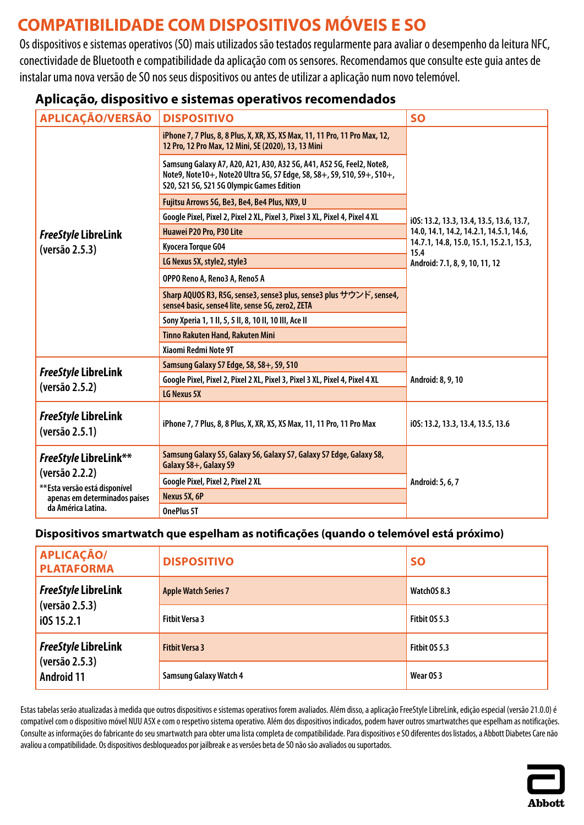# <span id="page-11-0"></span>**COMPATIBILIDADE COM DISPOSITIVOS MÓVEIS E SO**

Os dispositivos e sistemas operativos (SO) mais utilizados são testados regularmente para avaliar o desempenho da leitura NFC, conectividade de Bluetooth e compatibilidade da aplicação com os sensores. Recomendamos que consulte este guia antes de instalar uma nova versão de SO nos seus dispositivos ou antes de utilizar a aplicação num novo telemóvel.

### **Aplicação, dispositivo e sistemas operativos recomendados**

| <b>APLICAÇÃO/VERSÃO</b>                                                                                                          | <b>DISPOSITIVO</b>                                                                                                                                                                          | <b>SO</b>                                       |
|----------------------------------------------------------------------------------------------------------------------------------|---------------------------------------------------------------------------------------------------------------------------------------------------------------------------------------------|-------------------------------------------------|
|                                                                                                                                  | iPhone 7, 7 Plus, 8, 8 Plus, X, XR, XS, XS Max, 11, 11 Pro, 11 Pro Max, 12,<br>12 Pro, 12 Pro Max, 12 Mini, SE (2020), 13, 13 Mini                                                          |                                                 |
|                                                                                                                                  | Samsung Galaxy A7, A20, A21, A30, A32 5G, A41, A52 5G, Feel2, Note8,<br>Note9, Note10+, Note20 Ultra 5G, S7 Edge, S8, S8+, S9, S10, S9+, S10+,<br>S20, S21 5G, S21 5G Olympic Games Edition |                                                 |
|                                                                                                                                  | Fujitsu Arrows 5G, Be3, Be4, Be4 Plus, NX9, U                                                                                                                                               |                                                 |
|                                                                                                                                  | Google Pixel, Pixel 2, Pixel 2 XL, Pixel 3, Pixel 3 XL, Pixel 4, Pixel 4 XL                                                                                                                 | i0S: 13.2, 13.3, 13.4, 13.5, 13.6, 13.7,        |
| <b>FreeStyle LibreLink</b>                                                                                                       | Huawei P20 Pro, P30 Lite                                                                                                                                                                    | 14.0, 14.1, 14.2, 14.2.1, 14.5.1, 14.6,         |
| (versão 2.5.3)                                                                                                                   | Kyocera Torque G04                                                                                                                                                                          | 14.7.1, 14.8, 15.0, 15.1, 15.2.1, 15.3,<br>15.4 |
|                                                                                                                                  | LG Nexus 5X, style2, style3                                                                                                                                                                 | Android: 7.1, 8, 9, 10, 11, 12                  |
|                                                                                                                                  | OPPO Reno A, Reno3 A, Reno5 A                                                                                                                                                               |                                                 |
|                                                                                                                                  | Sharp AQUOS R3, R5G, sense3, sense3 plus, sense3 plus サウンド, sense4,<br>sense4 basic, sense4 lite, sense 5G, zero2, ZETA                                                                     |                                                 |
|                                                                                                                                  | Sony Xperia 1, 1 II, 5, 5 II, 8, 10 II, 10 III, Ace II                                                                                                                                      |                                                 |
|                                                                                                                                  | <b>Tinno Rakuten Hand, Rakuten Mini</b>                                                                                                                                                     |                                                 |
|                                                                                                                                  | Xiaomi Redmi Note 9T                                                                                                                                                                        |                                                 |
| <b>FreeStyle LibreLink</b>                                                                                                       | Samsung Galaxy S7 Edge, S8, S8+, S9, S10                                                                                                                                                    |                                                 |
| (versão 2.5.2)                                                                                                                   | Google Pixel, Pixel 2, Pixel 2 XL, Pixel 3, Pixel 3 XL, Pixel 4, Pixel 4 XL                                                                                                                 | Android: 8, 9, 10                               |
|                                                                                                                                  | LG Nexus 5X                                                                                                                                                                                 |                                                 |
| <b>FreeStyle LibreLink</b><br>(versão 2.5.1)                                                                                     | iPhone 7, 7 Plus, 8, 8 Plus, X, XR, XS, XS Max, 11, 11 Pro, 11 Pro Max                                                                                                                      | i0S: 13.2, 13.3, 13.4, 13.5, 13.6               |
| FreeStyle LibreLink**<br>(versão 2.2.2)<br>** Esta versão está disponível<br>apenas em determinados países<br>da América Latina. | Samsung Galaxy S5, Galaxy S6, Galaxy S7, Galaxy S7 Edge, Galaxy S8,<br>Galaxy S8+, Galaxy S9                                                                                                |                                                 |
|                                                                                                                                  | Google Pixel, Pixel 2, Pixel 2 XL                                                                                                                                                           | Android: 5, 6, 7                                |
|                                                                                                                                  | Nexus 5X, 6P                                                                                                                                                                                |                                                 |
|                                                                                                                                  | OnePlus 5T                                                                                                                                                                                  |                                                 |

#### **Dispositivos smartwatch que espelham as notificações (quando o telemóvel está próximo)**

| <b>APLICAÇÃO/</b><br><b>PLATAFORMA</b>                     | <b>DISPOSITIVO</b>            | <b>SO</b>     |
|------------------------------------------------------------|-------------------------------|---------------|
| <b>FreeStyle LibreLink</b><br>(versão 2.5.3)<br>i0S 15.2.1 | <b>Apple Watch Series 7</b>   | WatchOS 8.3   |
|                                                            | <b>Fitbit Versa 3</b>         | Fitbit 0S 5.3 |
| <b>FreeStyle LibreLink</b>                                 | <b>Fitbit Versa 3</b>         | Fitbit 0S 5.3 |
| (versão 2.5.3)<br><b>Android 11</b>                        | <b>Samsung Galaxy Watch 4</b> | Wear OS 3     |

Estas tabelas serão atualizadas à medida que outros dispositivos e sistemas operativos forem avaliados. Além disso, a aplicação FreeStyle LibreLink, edição especial (versão 21.0.0) é compatível com o dispositivo móvel NUU A5X e com o respetivo sistema operativo. Além dos dispositivos indicados, podem haver outros smartwatches que espelham as notificações. Consulte as informações do fabricante do seu smartwatch para obter uma lista completa de compatibilidade. Para dispositivos e SO diferentes dos listados, a Abbott Diabetes Care não avaliou a compatibilidade. Osdispositivos desbloqueados por jailbreak e as versões beta de SO não são avaliados ou suportados.

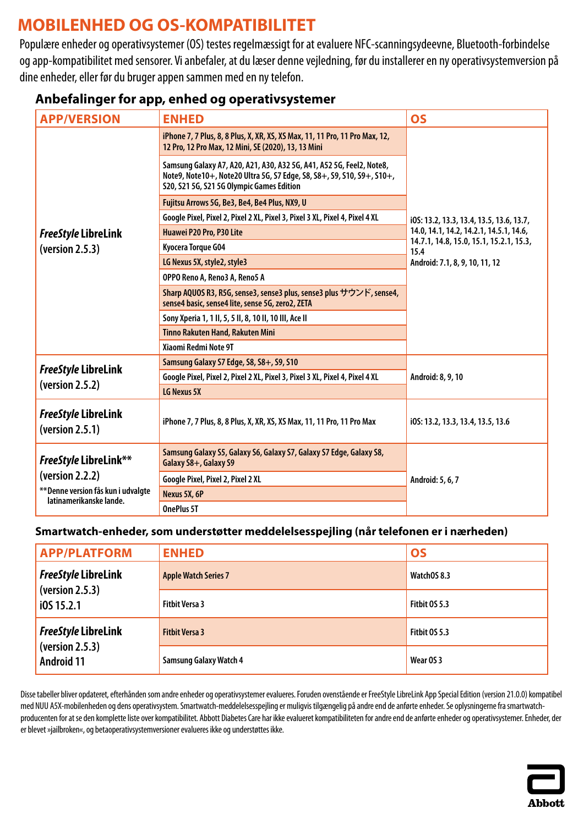# <span id="page-12-0"></span>**MOBILENHED OG OS-KOMPATIBILITET**

Populære enheder og operativsystemer (OS) testes regelmæssigt for at evaluere NFC-scanningsydeevne, Bluetooth-forbindelse og app-kompatibilitet med sensorer. Vi anbefaler, at du læser denne vejledning, før du installerer en ny operativsystemversion på dine enheder, eller før du bruger appen sammen med en ny telefon.

| <b>APP/VERSION</b>                                                                | <b>ENHED</b>                                                                                                                                                                                | <b>OS</b>                                       |
|-----------------------------------------------------------------------------------|---------------------------------------------------------------------------------------------------------------------------------------------------------------------------------------------|-------------------------------------------------|
|                                                                                   | iPhone 7, 7 Plus, 8, 8 Plus, X, XR, XS, XS Max, 11, 11 Pro, 11 Pro Max, 12,<br>12 Pro, 12 Pro Max, 12 Mini, SE (2020), 13, 13 Mini                                                          |                                                 |
|                                                                                   | Samsung Galaxy A7, A20, A21, A30, A32 5G, A41, A52 5G, Feel2, Note8,<br>Note9, Note10+, Note20 Ultra 5G, S7 Edge, S8, S8+, S9, S10, S9+, S10+,<br>S20, S21 5G, S21 5G Olympic Games Edition |                                                 |
|                                                                                   | Fujitsu Arrows 5G, Be3, Be4, Be4 Plus, NX9, U                                                                                                                                               |                                                 |
|                                                                                   | Google Pixel, Pixel 2, Pixel 2 XL, Pixel 3, Pixel 3 XL, Pixel 4, Pixel 4 XL                                                                                                                 | i0S: 13.2, 13.3, 13.4, 13.5, 13.6, 13.7,        |
| <b>FreeStyle LibreLink</b>                                                        | Huawei P20 Pro, P30 Lite                                                                                                                                                                    | 14.0, 14.1, 14.2, 14.2.1, 14.5.1, 14.6,         |
| (yersion 2.5.3)                                                                   | Kyocera Torque G04                                                                                                                                                                          | 14.7.1, 14.8, 15.0, 15.1, 15.2.1, 15.3,<br>15.4 |
|                                                                                   | LG Nexus 5X, style2, style3                                                                                                                                                                 | Android: 7.1, 8, 9, 10, 11, 12                  |
|                                                                                   | OPPO Reno A, Reno3 A, Reno5 A                                                                                                                                                               |                                                 |
|                                                                                   | Sharp AQUOS R3, R5G, sense3, sense3 plus, sense3 plus サウンド, sense4,<br>sense4 basic, sense4 lite, sense 5G, zero2, ZETA                                                                     |                                                 |
|                                                                                   | Sony Xperia 1, 1 II, 5, 5 II, 8, 10 II, 10 III, Ace II                                                                                                                                      |                                                 |
|                                                                                   | Tinno Rakuten Hand, Rakuten Mini                                                                                                                                                            |                                                 |
|                                                                                   | Xiaomi Redmi Note 9T                                                                                                                                                                        |                                                 |
|                                                                                   | Samsung Galaxy S7 Edge, S8, S8+, S9, S10                                                                                                                                                    | Android: 8, 9, 10                               |
| <b>FreeStyle LibreLink</b>                                                        | Google Pixel, Pixel 2, Pixel 2 XL, Pixel 3, Pixel 3 XL, Pixel 4, Pixel 4 XL                                                                                                                 |                                                 |
| (yersion 2.5.2)                                                                   | LG Nexus 5X                                                                                                                                                                                 |                                                 |
| <b>FreeStyle LibreLink</b><br>(yersion 2.5.1)                                     | iPhone 7, 7 Plus, 8, 8 Plus, X, XR, XS, XS Max, 11, 11 Pro, 11 Pro Max                                                                                                                      | i0S: 13.2, 13.3, 13.4, 13.5, 13.6               |
| <b>FreeStyle LibreLink**</b>                                                      | Samsung Galaxy S5, Galaxy S6, Galaxy S7, Galaxy S7 Edge, Galaxy S8,<br>Galaxy S8+, Galaxy S9                                                                                                |                                                 |
| (yersion 2.2.2)<br>** Denne version fås kun i udvalgte<br>latinamerikanske lande. | Google Pixel, Pixel 2, Pixel 2 XL                                                                                                                                                           | Android: 5, 6, 7                                |
|                                                                                   | Nexus 5X, 6P                                                                                                                                                                                |                                                 |
|                                                                                   | OnePlus 5T                                                                                                                                                                                  |                                                 |

### **Anbefalinger for app, enhed og operativsystemer**

#### **Smartwatch-enheder, som understøtter meddelelsesspejling (når telefonen er i nærheden)**

| <b>APP/PLATFORM</b>                                         | <b>ENHED</b>                  | <b>OS</b>            |
|-------------------------------------------------------------|-------------------------------|----------------------|
| <b>FreeStyle LibreLink</b><br>(yersion 2.5.3)<br>i0S 15.2.1 | <b>Apple Watch Series 7</b>   | WatchOS 8.3          |
|                                                             | <b>Fitbit Versa 3</b>         | Fitbit OS 5.3        |
| <b>FreeStyle LibreLink</b>                                  | <b>Fitbit Versa 3</b>         | <b>Fitbit 0S 5.3</b> |
| (yersion 2.5.3)<br><b>Android 11</b>                        | <b>Samsung Galaxy Watch 4</b> | Wear OS 3            |

Disse tabeller bliver opdateret, efterhånden som andre enheder og operativsystemer evalueres. Foruden ovenstående er FreeStyle LibreLink App Special Edition (version 21.0.0) kompatibel med NUU A5X-mobilenheden og dens operativsystem. Smartwatch-meddelelsesspejling er muligvis tilgængelig på andre end de anførte enheder. Se oplysningerne fra smartwatchproducenten for at se den komplette liste over kompatibilitet. Abbott Diabetes Care har ikke evalueret kompatibiliteten for andre end de anførte enheder og operativsystemer. Enheder, der er blevet »jailbroken«, og betaoperativsystemversioner evalueres ikke og understøttes ikke.

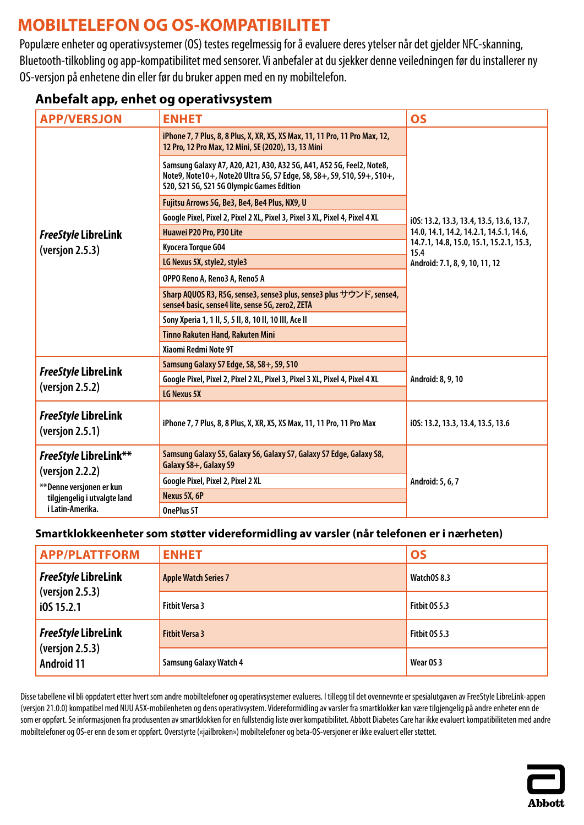# <span id="page-13-0"></span>**MOBILTELEFON OG OS-KOMPATIBILITET**

Populære enheter og operativsystemer (OS) testes regelmessig for å evaluere deres ytelser når det gjelder NFC-skanning, Bluetooth-tilkobling og app-kompatibilitet med sensorer. Vi anbefaler at du sjekker denne veiledningen før du installerer ny OS-versjon på enhetene din eller før du bruker appen med en ny mobiltelefon.

### **Anbefalt app, enhet og operativsystem**

| <b>APP/VERSJON</b>                                                                                                        | <b>ENHET</b>                                                                                                                                                                                | <b>OS</b>                                       |
|---------------------------------------------------------------------------------------------------------------------------|---------------------------------------------------------------------------------------------------------------------------------------------------------------------------------------------|-------------------------------------------------|
|                                                                                                                           | iPhone 7, 7 Plus, 8, 8 Plus, X, XR, XS, XS Max, 11, 11 Pro, 11 Pro Max, 12,<br>12 Pro, 12 Pro Max, 12 Mini, SE (2020), 13, 13 Mini                                                          |                                                 |
|                                                                                                                           | Samsung Galaxy A7, A20, A21, A30, A32 5G, A41, A52 5G, Feel2, Note8,<br>Note9, Note10+, Note20 Ultra 5G, S7 Edge, S8, S8+, S9, S10, S9+, S10+,<br>S20, S21 5G, S21 5G Olympic Games Edition |                                                 |
|                                                                                                                           | Fujitsu Arrows 5G, Be3, Be4, Be4 Plus, NX9, U                                                                                                                                               |                                                 |
|                                                                                                                           | Google Pixel, Pixel 2, Pixel 2 XL, Pixel 3, Pixel 3 XL, Pixel 4, Pixel 4 XL                                                                                                                 | i0S: 13.2, 13.3, 13.4, 13.5, 13.6, 13.7,        |
| <b>FreeStyle LibreLink</b>                                                                                                | Huawei P20 Pro, P30 Lite                                                                                                                                                                    | 14.0, 14.1, 14.2, 14.2.1, 14.5.1, 14.6,         |
| (version 2.5.3)                                                                                                           | Kyocera Torque G04                                                                                                                                                                          | 14.7.1, 14.8, 15.0, 15.1, 15.2.1, 15.3,<br>15.4 |
|                                                                                                                           | LG Nexus 5X, style2, style3                                                                                                                                                                 | Android: 7.1, 8, 9, 10, 11, 12                  |
|                                                                                                                           | OPPO Reno A, Reno3 A, Reno5 A                                                                                                                                                               |                                                 |
|                                                                                                                           | Sharp AQUOS R3, R5G, sense3, sense3 plus, sense3 plus サウンド, sense4,<br>sense4 basic, sense4 lite, sense 5G, zero2, ZETA                                                                     |                                                 |
|                                                                                                                           | Sony Xperia 1, 1 II, 5, 5 II, 8, 10 II, 10 III, Ace II                                                                                                                                      |                                                 |
|                                                                                                                           | Tinno Rakuten Hand, Rakuten Mini                                                                                                                                                            |                                                 |
|                                                                                                                           | Xiaomi Redmi Note 9T                                                                                                                                                                        |                                                 |
| <b>FreeStyle LibreLink</b>                                                                                                | Samsung Galaxy S7 Edge, S8, S8+, S9, S10                                                                                                                                                    |                                                 |
|                                                                                                                           | Google Pixel, Pixel 2, Pixel 2 XL, Pixel 3, Pixel 3 XL, Pixel 4, Pixel 4 XL                                                                                                                 | Android: 8, 9, 10                               |
| (version 2.5.2)                                                                                                           | LG Nexus 5X                                                                                                                                                                                 |                                                 |
| <b>FreeStyle LibreLink</b><br>(version 2.5.1)                                                                             | iPhone 7, 7 Plus, 8, 8 Plus, X, XR, XS, XS Max, 11, 11 Pro, 11 Pro Max                                                                                                                      | i0S: 13.2, 13.3, 13.4, 13.5, 13.6               |
| FreeStyle LibreLink**<br>(version 2.2.2)<br>** Denne versjonen er kun<br>tilgjengelig i utvalgte land<br>i Latin-Amerika. | Samsung Galaxy S5, Galaxy S6, Galaxy S7, Galaxy S7 Edge, Galaxy S8,<br>Galaxy S8+, Galaxy S9                                                                                                | Android: 5, 6, 7                                |
|                                                                                                                           | Google Pixel, Pixel 2, Pixel 2 XL                                                                                                                                                           |                                                 |
|                                                                                                                           | Nexus 5X, 6P                                                                                                                                                                                |                                                 |
|                                                                                                                           | OnePlus 5T                                                                                                                                                                                  |                                                 |

#### **Smartklokkeenheter som støtter videreformidling av varsler (når telefonen er i nærheten)**

| <b>APP/PLATTFORM</b>                                               | <b>ENHET</b>                  | <b>OS</b>     |
|--------------------------------------------------------------------|-------------------------------|---------------|
| <b>FreeStyle LibreLink</b><br>(version 2.5.3)<br>i0S 15.2.1        | <b>Apple Watch Series 7</b>   | WatchOS 8.3   |
|                                                                    | <b>Fitbit Versa 3</b>         | Fitbit OS 5.3 |
| <b>FreeStyle LibreLink</b><br>(version 2.5.3)<br><b>Android 11</b> | <b>Fitbit Versa 3</b>         | Fitbit OS 5.3 |
|                                                                    | <b>Samsung Galaxy Watch 4</b> | Wear OS 3     |

Disse tabellene vil bli oppdatert etter hvert som andre mobiltelefoner og operativsystemer evalueres. I tillegg til det ovennevnte er spesialutgaven av FreeStyle LibreLink-appen (versjon 21.0.0) kompatibel med NUU A5X-mobilenheten og dens operativsystem. Videreformidling av varsler fra smartklokker kan være tilgjengelig på andre enheter enn de som er oppført. Se informasjonen fra produsenten av smartklokken for en fullstendig liste over kompatibilitet. Abbott Diabetes Care har ikke evaluert kompatibiliteten med andre mobiltelefoner og OS-er enn de som er oppført. Overstyrte («jailbroken») mobiltelefoner og beta-OS-versjoner er ikke evaluert eller støttet.

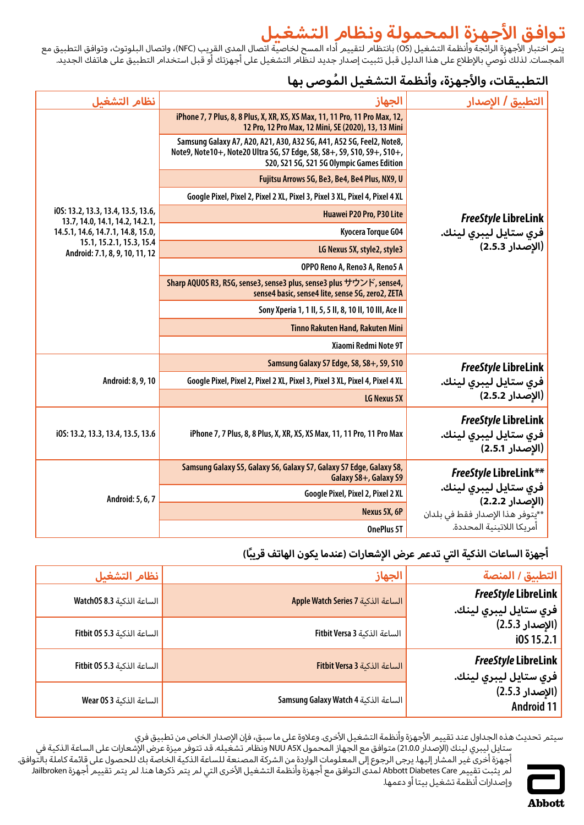# **تواف ق األجهزة الم حم ولة ونظام ال تشغيل**

<span id="page-14-0"></span>يتم اختبار الأجهزة الرائجة وأنظمة التشغيل (OS) بانتظام لتقييم أداء المسح لخاصية اتصال المدى القريب (NFC)، واتصال البلوتوث، وتوافق التطبيق مع المجسات. لذلك نُوصي بالإطلاع على هذا الدليل قبل تثبيت إصدار جديد لنظام التشغيل على أجهزتك أو قبل استخدام التطبيق على هاتفك الجديد.

### **ال تطب ي ق ات، واألجهزة، وأنظم ة ال ت شغي ل ُ الموص ى بها**

| نظام التشغىل                                                          | الجهاز                                                                                                                                                                                      | التطبيق / الإصدار                                                      |
|-----------------------------------------------------------------------|---------------------------------------------------------------------------------------------------------------------------------------------------------------------------------------------|------------------------------------------------------------------------|
|                                                                       | iPhone 7, 7 Plus, 8, 8 Plus, X, XR, XS, XS Max, 11, 11 Pro, 11 Pro Max, 12,<br>12 Pro, 12 Pro Max, 12 Mini, SE (2020), 13, 13 Mini                                                          |                                                                        |
|                                                                       | Samsung Galaxy A7, A20, A21, A30, A32 5G, A41, A52 5G, Feel2, Note8,<br>Note9, Note10+, Note20 Ultra 5G, S7 Edge, S8, S8+, S9, S10, S9+, S10+,<br>S20, S21 5G, S21 5G Olympic Games Edition |                                                                        |
|                                                                       | Fujitsu Arrows 5G, Be3, Be4, Be4 Plus, NX9, U                                                                                                                                               |                                                                        |
|                                                                       | Google Pixel, Pixel 2, Pixel 2 XL, Pixel 3, Pixel 3 XL, Pixel 4, Pixel 4 XL                                                                                                                 |                                                                        |
| i0S: 13.2, 13.3, 13.4, 13.5, 13.6,<br>13.7, 14.0, 14.1, 14.2, 14.2.1, | Huawei P20 Pro, P30 Lite                                                                                                                                                                    | <b>FreeStyle LibreLink</b>                                             |
| 14.5.1, 14.6, 14.7.1, 14.8, 15.0,                                     | Kyocera Torque G04                                                                                                                                                                          | فري ستايل ليبري لينك.                                                  |
| 15.1, 15.2.1, 15.3, 15.4<br>Android: 7.1, 8, 9, 10, 11, 12            | LG Nexus 5X, style2, style3                                                                                                                                                                 | (الإصدار 2.5.3)                                                        |
|                                                                       | OPPO Reno A, Reno3 A, Reno5 A                                                                                                                                                               |                                                                        |
|                                                                       | Sharp AQUOS R3, R5G, sense3, sense3 plus, sense3 plus サウンド, sense4,<br>sense4 basic, sense4 lite, sense 5G, zero2, ZETA                                                                     |                                                                        |
|                                                                       | Sony Xperia 1, 1 II, 5, 5 II, 8, 10 II, 10 III, Ace II                                                                                                                                      |                                                                        |
|                                                                       | Tinno Rakuten Hand, Rakuten Mini                                                                                                                                                            |                                                                        |
|                                                                       | Xiaomi Redmi Note 9T                                                                                                                                                                        |                                                                        |
|                                                                       | Samsung Galaxy S7 Edge, S8, S8+, S9, S10                                                                                                                                                    | <b>FreeStyle LibreLink</b>                                             |
| Android: 8, 9, 10                                                     | Google Pixel, Pixel 2, Pixel 2 XL, Pixel 3, Pixel 3 XL, Pixel 4, Pixel 4 XL                                                                                                                 | فري ستايل ليبري لينك.                                                  |
|                                                                       | LG Nexus 5X                                                                                                                                                                                 | (الإصدار 2.5.2)                                                        |
| i0S: 13.2, 13.3, 13.4, 13.5, 13.6                                     | iPhone 7, 7 Plus, 8, 8 Plus, X, XR, XS, XS Max, 11, 11 Pro, 11 Pro Max                                                                                                                      | <b>FreeStyle LibreLink</b><br>فري ستايل ليبري لينك.<br>(الإصدار 2.5.1) |
| Android: 5, 6, 7                                                      | Samsung Galaxy S5, Galaxy S6, Galaxy S7, Galaxy S7 Edge, Galaxy S8,<br>Galaxy S8+, Galaxy S9                                                                                                | <b>FreeStyle LibreLink**</b>                                           |
|                                                                       | Google Pixel, Pixel 2, Pixel 2 XL                                                                                                                                                           | فري ستايل ليبري لينك.<br>(الإصدار 2.2.2)                               |
|                                                                       | Nexus 5X, 6P                                                                                                                                                                                | **يتوفر هذا الإصدار فقط في بلدان                                       |
|                                                                       | OnePlus 5T                                                                                                                                                                                  | أمريكا اللاتينية المحددة.                                              |

#### أجهزة الساعات الذكية التي تدعم عرض الإشعارات (عندما يكون الهاتف قريبًا)

| التطبيق / المنصة                                                   | الجهاز                               | نظام التشغيل                |
|--------------------------------------------------------------------|--------------------------------------|-----------------------------|
| <b>FreeStyle LibreLink</b><br><mark>  فري ستايل ليبري لينك.</mark> | Apple Watch Series 7 الساعة الذكنة   | الساعة الذكنة Watch0S 8.3   |
| (الإصدار 2.5.3)<br>i0S 15.2.1                                      | الساعة الذكنة Fitbit Versa 3         | الساعة الذكنة Fitbit 0S 5.3 |
| <b>FreeStyle LibreLink</b><br><mark>  فري ستايل ليبري لينك.</mark> | الساعة الذكنة Fitbit Versa 3         | الساعة الذكنة Fitbit 0S 5.3 |
| (الإصدار 2.5.3)<br>Android 11                                      | Samsung Galaxy Watch 4 الساعة الذكية | الساعة الذكنة Wear 0S 3     |

سيتمر تحديث هذه الجداول عند تقييم الأجهزة وأنظمة التشغيل الأخرى. وعلاوة على ما سبق، فإن الإصدار الخاص من تطبيق فري



ستايل ليبري لينك (الإصدار 21.0.0) متوافق مع الجهاز المحمول NUU A5X ونظام تشغيله. قد تتوفر ميزة عرض الإشعارات على الساعة الذكية في أجهزة أخرى غير المشار إليها. يرجى الرجوع إلى المعلومات الواردة من الشركة المصنعة للساعة الذكية الخاصة بك للحصول على قائمة كاملة بالتوافق. لم يثبت تقييم Abbott Diabetes Care لمدى التوافق مع أجهزة وأنظمة التشغيل الأخرى التي لم يتمر ذكرها هنا. لم يتمر تقييم أجهزة Jailbroken وإصدارات أنظمة تشغيل بيتا أو دعمها.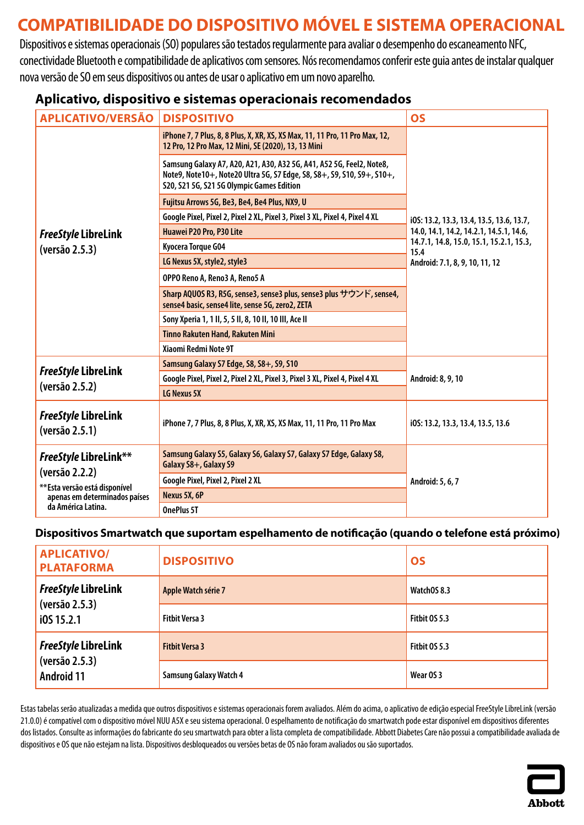# <span id="page-15-0"></span>**COMPATIBILIDADE DO DISPOSITIVO MÓVEL E SISTEMA OPERACIONAL**

Dispositivos e sistemas operacionais (SO) populares são testados regularmente para avaliar o desempenho do escaneamento NFC, conectividade Bluetooth e compatibilidade de aplicativos com sensores. Nós recomendamos conferir este guia antes de instalar qualquer nova versão de SO em seus dispositivos ou antes de usar o aplicativo em um novo aparelho.

#### **Aplicativo, dispositivo e sistemas operacionais recomendados**

| <b>APLICATIVO/VERSÃO</b>                                                                                                                | <b>DISPOSITIVO</b>                                                                                                                                                                          | <b>OS</b>                                       |
|-----------------------------------------------------------------------------------------------------------------------------------------|---------------------------------------------------------------------------------------------------------------------------------------------------------------------------------------------|-------------------------------------------------|
|                                                                                                                                         | iPhone 7, 7 Plus, 8, 8 Plus, X, XR, XS, XS Max, 11, 11 Pro, 11 Pro Max, 12,<br>12 Pro, 12 Pro Max, 12 Mini, SE (2020), 13, 13 Mini                                                          |                                                 |
|                                                                                                                                         | Samsung Galaxy A7, A20, A21, A30, A32 5G, A41, A52 5G, Feel2, Note8,<br>Note9, Note10+, Note20 Ultra 5G, S7 Edge, S8, S8+, S9, S10, S9+, S10+,<br>S20, S21 5G, S21 5G Olympic Games Edition |                                                 |
|                                                                                                                                         | Fujitsu Arrows 5G, Be3, Be4, Be4 Plus, NX9, U                                                                                                                                               |                                                 |
|                                                                                                                                         | Google Pixel, Pixel 2, Pixel 2 XL, Pixel 3, Pixel 3 XL, Pixel 4, Pixel 4 XL                                                                                                                 | i0S: 13.2, 13.3, 13.4, 13.5, 13.6, 13.7,        |
| <b>FreeStyle LibreLink</b>                                                                                                              | Huawei P20 Pro, P30 Lite                                                                                                                                                                    | 14.0, 14.1, 14.2, 14.2.1, 14.5.1, 14.6,         |
| (versão 2.5.3)                                                                                                                          | Kyocera Torque G04                                                                                                                                                                          | 14.7.1, 14.8, 15.0, 15.1, 15.2.1, 15.3,<br>15.4 |
|                                                                                                                                         | LG Nexus 5X, style2, style3                                                                                                                                                                 | Android: 7.1, 8, 9, 10, 11, 12                  |
|                                                                                                                                         | OPPO Reno A, Reno3 A, Reno5 A                                                                                                                                                               |                                                 |
|                                                                                                                                         | Sharp AQUOS R3, R5G, sense3, sense3 plus, sense3 plus サウンド, sense4,<br>sense4 basic, sense4 lite, sense 5G, zero2, ZETA                                                                     |                                                 |
|                                                                                                                                         | Sony Xperia 1, 1 II, 5, 5 II, 8, 10 II, 10 III, Ace II                                                                                                                                      |                                                 |
|                                                                                                                                         | Tinno Rakuten Hand, Rakuten Mini                                                                                                                                                            |                                                 |
|                                                                                                                                         | Xiaomi Redmi Note 9T                                                                                                                                                                        |                                                 |
| <b>FreeStyle LibreLink</b>                                                                                                              | Samsung Galaxy S7 Edge, S8, S8+, S9, S10                                                                                                                                                    |                                                 |
|                                                                                                                                         | Google Pixel, Pixel 2, Pixel 2 XL, Pixel 3, Pixel 3 XL, Pixel 4, Pixel 4 XL                                                                                                                 | Android: 8, 9, 10                               |
| (versão 2.5.2)                                                                                                                          | LG Nexus 5X                                                                                                                                                                                 |                                                 |
| <b>FreeStyle LibreLink</b><br>(versão 2.5.1)                                                                                            | iPhone 7, 7 Plus, 8, 8 Plus, X, XR, XS, XS Max, 11, 11 Pro, 11 Pro Max                                                                                                                      | i0S: 13.2, 13.3, 13.4, 13.5, 13.6               |
| <b>FreeStyle LibreLink**</b><br>(versão 2.2.2)<br>** Esta versão está disponível<br>apenas em determinados países<br>da América Latina. | Samsung Galaxy S5, Galaxy S6, Galaxy S7, Galaxy S7 Edge, Galaxy S8,<br>Galaxy S8+, Galaxy S9                                                                                                |                                                 |
|                                                                                                                                         | Google Pixel, Pixel 2, Pixel 2 XL                                                                                                                                                           | Android: 5, 6, 7                                |
|                                                                                                                                         | Nexus 5X, 6P                                                                                                                                                                                |                                                 |
|                                                                                                                                         | <b>OnePlus 5T</b>                                                                                                                                                                           |                                                 |

#### **Dispositivos Smartwatch que suportam espelhamento de notificação (quando o telefone está próximo)**

| <b>APLICATIVO/</b><br><b>PLATAFORMA</b> | <b>DISPOSITIVO</b>            | <b>OS</b>     |
|-----------------------------------------|-------------------------------|---------------|
| <b>FreeStyle LibreLink</b>              | Apple Watch série 7           | WatchOS 8.3   |
| (versão 2.5.3)<br>i0S 15.2.1            | <b>Fitbit Versa 3</b>         | Fitbit OS 5.3 |
| <b>FreeStyle LibreLink</b>              | <b>Fitbit Versa 3</b>         | Fitbit 0S 5.3 |
| (versão 2.5.3)<br><b>Android 11</b>     | <b>Samsung Galaxy Watch 4</b> | Wear OS 3     |

Estas tabelas serão atualizadas a medida que outros dispositivos e sistemas operacionais forem avaliados. Além do acima, o aplicativo de edição especial FreeStyle LibreLink (versão 21.0.0) é compatível com odispositivo móvel NUU A5X e seu sistema operacional. O espelhamento de notificação do smartwatch pode estar disponível em dispositivos diferentes dos listados. Consulte as informações do fabricante do seu smartwatch para obter a lista completa de compatibilidade. Abbott Diabetes Care não possui a compatibilidade avaliada de dispositivos e OS que não estejam na lista. Dispositivos desbloqueados ou versões betas de OS não foram avaliados ou são suportados.

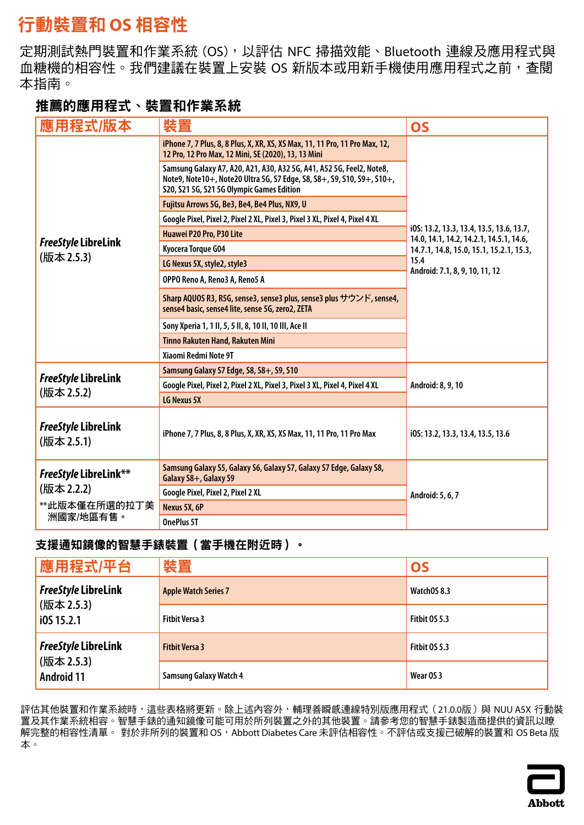# <span id="page-16-0"></span>行動裝置和 **OS** 相容性

定期測試熱門裝置和作業系統 (OS),以評估 NFC 掃描效能、Bluetooth 連線及應用程式與 血糖機的相容性。我們建議在裝置上安裝 OS 新版本或用新手機使用應用程式之前,查閱 本指南。

### 推薦的應用程式、裝置和作業系統

| 應用程式/版本                                                                  | 裝置                                                                                                                                                                                          | <b>OS</b>                                                                           |
|--------------------------------------------------------------------------|---------------------------------------------------------------------------------------------------------------------------------------------------------------------------------------------|-------------------------------------------------------------------------------------|
|                                                                          | iPhone 7, 7 Plus, 8, 8 Plus, X, XR, XS, XS Max, 11, 11 Pro, 11 Pro Max, 12,<br>12 Pro, 12 Pro Max, 12 Mini, SE (2020), 13, 13 Mini                                                          |                                                                                     |
|                                                                          | Samsung Galaxy A7, A20, A21, A30, A32 5G, A41, A52 5G, Feel2, Note8,<br>Note9, Note10+, Note20 Ultra 5G, S7 Edge, S8, S8+, S9, S10, S9+, S10+,<br>S20, S21 5G, S21 5G Olympic Games Edition |                                                                                     |
|                                                                          | Fujitsu Arrows 5G, Be3, Be4, Be4 Plus, NX9, U                                                                                                                                               |                                                                                     |
|                                                                          | Google Pixel, Pixel 2, Pixel 2 XL, Pixel 3, Pixel 3 XL, Pixel 4, Pixel 4 XL                                                                                                                 |                                                                                     |
|                                                                          | Huawei P20 Pro, P30 Lite                                                                                                                                                                    | i0S: 13.2, 13.3, 13.4, 13.5, 13.6, 13.7,<br>14.0, 14.1, 14.2, 14.2.1, 14.5.1, 14.6, |
| FreeStyle LibreLink                                                      | Kyocera Torque G04                                                                                                                                                                          | 14.7.1, 14.8, 15.0, 15.1, 15.2.1, 15.3,                                             |
| (版本 2.5.3)                                                               | LG Nexus 5X, style2, style3                                                                                                                                                                 | 15.4                                                                                |
|                                                                          | OPPO Reno A, Reno3 A, Reno5 A                                                                                                                                                               | Android: 7.1, 8, 9, 10, 11, 12                                                      |
|                                                                          | Sharp AQUOS R3, R5G, sense3, sense3 plus, sense3 plus サウンド, sense4,<br>sense4 basic, sense4 lite, sense 5G, zero2, ZETA                                                                     |                                                                                     |
|                                                                          | Sony Xperia 1, 1 II, 5, 5 II, 8, 10 II, 10 III, Ace II                                                                                                                                      |                                                                                     |
|                                                                          | <b>Tinno Rakuten Hand, Rakuten Mini</b>                                                                                                                                                     |                                                                                     |
|                                                                          | Xiaomi Redmi Note 9T                                                                                                                                                                        |                                                                                     |
|                                                                          | Samsung Galaxy S7 Edge, S8, S8+, S9, S10                                                                                                                                                    |                                                                                     |
| <b>FreeStyle LibreLink</b>                                               | Google Pixel, Pixel 2, Pixel 2 XL, Pixel 3, Pixel 3 XL, Pixel 4, Pixel 4 XL                                                                                                                 | Android: 8, 9, 10                                                                   |
| (版本 2.5.2)                                                               | LG Nexus 5X                                                                                                                                                                                 |                                                                                     |
| <b>FreeStyle LibreLink</b><br>(版本 2.5.1)                                 | iPhone 7, 7 Plus, 8, 8 Plus, X, XR, XS, XS Max, 11, 11 Pro, 11 Pro Max                                                                                                                      | i0S: 13.2, 13.3, 13.4, 13.5, 13.6                                                   |
| <b>FreeStyle LibreLink**</b><br>(版本 2.2.2)<br>**此版本僅在所選的拉丁美<br>洲國家/地區有售。 | Samsung Galaxy S5, Galaxy S6, Galaxy S7, Galaxy S7 Edge, Galaxy S8,<br>Galaxy S8+, Galaxy S9                                                                                                |                                                                                     |
|                                                                          | Google Pixel, Pixel 2, Pixel 2 XL                                                                                                                                                           | Android: 5, 6, 7                                                                    |
|                                                                          | Nexus 5X, 6P                                                                                                                                                                                |                                                                                     |
|                                                                          | OnePlus 5T                                                                                                                                                                                  |                                                                                     |

#### 支援通知鏡像的智慧手錶裝置(當手機在附近時)。

| 應用程式/平台                         | 裝置                            | <b>OS</b>     |
|---------------------------------|-------------------------------|---------------|
| <b>FreeStyle LibreLink</b>      | <b>Apple Watch Series 7</b>   | WatchOS 8.3   |
| (版本 2.5.3)<br>i0S 15.2.1        | <b>Fitbit Versa 3</b>         | Fitbit OS 5.3 |
| <b>FreeStyle LibreLink</b>      | <b>Fitbit Versa 3</b>         | Fitbit OS 5.3 |
| (版本 2.5.3)<br><b>Android 11</b> | <b>Samsung Galaxy Watch 4</b> | Wear OS 3     |

評估其他裝置和作業系統時,這些表格將更新。除上述內容外,輔理善瞬感連線特別版應用程式(21.0.0版)與 NUU A5X 行動裝 置及其作業系統相容。智慧手錶的通知鏡像可能可用於所列裝置之外的其他裝置。請參考您的智慧手錶製造商提供的資訊以瞭 解完整的相容性清單。 對於非所列的裝置和 OS, Abbott Diabetes Care 未評估相容性。不評估或支援已破解的裝置和 OS Beta 版 本。

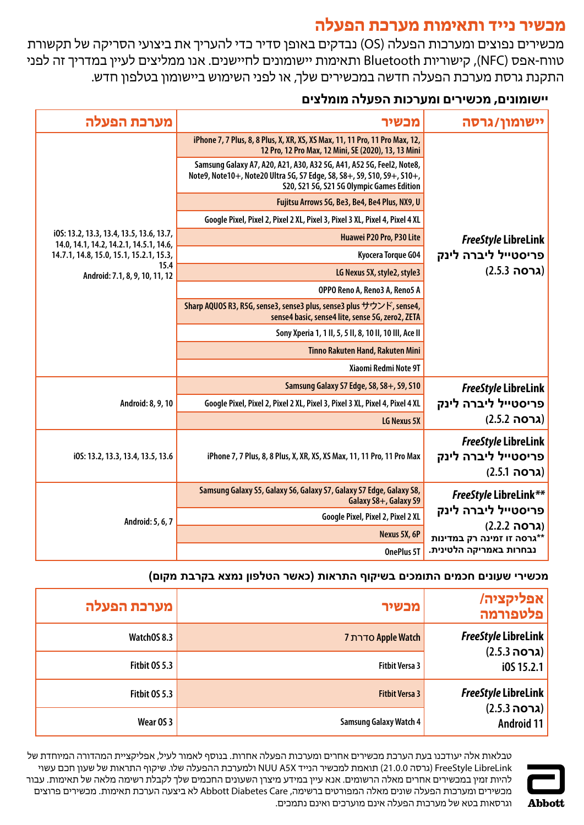### **מכשיר נייד ותאימות מערכת הפעלה**

<span id="page-17-0"></span>מכשירים נפוצים ומערכות הפעלה )OS )נבדקים באופן סדיר כדי להעריך את ביצועי הסריקה של תקשורת טווח-אפס )NFC), קישוריות Bluetooth ותאימות יישומונים לחיישנים. אנו ממליצים לעיין במדריך זה לפני התקנת גרסת מערכת הפעלה חדשה במכשירים שלך, או לפני השימוש ביישומון בטלפון חדש.

### **יישומונים, מכשירים ומערכות הפעלה מומלצים**

| יישומון/גרסה                                                      | מכשיר                                                                                                                                                                                       | מערכת הפעלה                                                                         |
|-------------------------------------------------------------------|---------------------------------------------------------------------------------------------------------------------------------------------------------------------------------------------|-------------------------------------------------------------------------------------|
|                                                                   | iPhone 7, 7 Plus, 8, 8 Plus, X, XR, XS, XS Max, 11, 11 Pro, 11 Pro Max, 12,<br>12 Pro, 12 Pro Max, 12 Mini, SE (2020), 13, 13 Mini                                                          |                                                                                     |
|                                                                   | Samsung Galaxy A7, A20, A21, A30, A32 5G, A41, A52 5G, Feel2, Note8,<br>Note9, Note10+, Note20 Ultra 5G, S7 Edge, S8, S8+, S9, S10, S9+, S10+,<br>S20, S21 5G, S21 5G Olympic Games Edition |                                                                                     |
|                                                                   | Fujitsu Arrows 5G, Be3, Be4, Be4 Plus, NX9, U                                                                                                                                               |                                                                                     |
|                                                                   | Google Pixel, Pixel 2, Pixel 2 XL, Pixel 3, Pixel 3 XL, Pixel 4, Pixel 4 XL                                                                                                                 |                                                                                     |
| <b>FreeStyle LibreLink</b>                                        | Huawei P20 Pro, P30 Lite                                                                                                                                                                    | i0S: 13.2, 13.3, 13.4, 13.5, 13.6, 13.7,<br>14.0, 14.1, 14.2, 14.2.1, 14.5.1, 14.6, |
| פריסטייל ליברה לינק                                               | Kyocera Torque G04                                                                                                                                                                          | 14.7.1, 14.8, 15.0, 15.1, 15.2.1, 15.3,                                             |
| (גרסה 2.5.3)                                                      | LG Nexus 5X, style2, style3                                                                                                                                                                 | 15.4<br>Android: 7.1, 8, 9, 10, 11, 12                                              |
|                                                                   | OPPO Reno A, Reno3 A, Reno5 A                                                                                                                                                               |                                                                                     |
|                                                                   | Sharp AQUOS R3, R5G, sense3, sense3 plus, sense3 plus サウンド, sense4,<br>sense4 basic, sense4 lite, sense 5G, zero2, ZETA                                                                     |                                                                                     |
|                                                                   | Sony Xperia 1, 1 II, 5, 5 II, 8, 10 II, 10 III, Ace II                                                                                                                                      |                                                                                     |
|                                                                   | Tinno Rakuten Hand, Rakuten Mini                                                                                                                                                            |                                                                                     |
|                                                                   | Xiaomi Redmi Note 9T                                                                                                                                                                        |                                                                                     |
| <b>FreeStyle LibreLink</b>                                        | Samsung Galaxy S7 Edge, S8, S8+, S9, S10                                                                                                                                                    |                                                                                     |
| פריסטייל ליברה לינק                                               | Google Pixel, Pixel 2, Pixel 2 XL, Pixel 3, Pixel 3 XL, Pixel 4, Pixel 4 XL                                                                                                                 | Android: 8, 9, 10                                                                   |
| (גרסה 2.5.2)                                                      | LG Nexus 5X                                                                                                                                                                                 |                                                                                     |
| <b>FreeStyle LibreLink</b><br>פריסטייל ליברה לינק<br>(גרסה 2.5.1) | iPhone 7, 7 Plus, 8, 8 Plus, X, XR, XS, XS Max, 11, 11 Pro, 11 Pro Max                                                                                                                      | i0S: 13.2, 13.3, 13.4, 13.5, 13.6                                                   |
| <b>FreeStyle LibreLink**</b>                                      | Samsung Galaxy S5, Galaxy S6, Galaxy S7, Galaxy S7 Edge, Galaxy S8,<br>Galaxy S8+, Galaxy S9                                                                                                | Android: 5, 6, 7                                                                    |
| פריסטייל ליברה לינק<br>(גרסה 2.2.2)                               | Google Pixel, Pixel 2, Pixel 2 XL                                                                                                                                                           |                                                                                     |
| **גרסה זו זמינה רק במדינות                                        | Nexus 5X, 6P                                                                                                                                                                                |                                                                                     |
| נבחרות באמריקה הלטינית.                                           | OnePlus 5T                                                                                                                                                                                  |                                                                                     |

#### **מכשירי שעונים חכמים התומכים בשיקוף התראות )כאשר הטלפון נמצא בקרבת מקום(**

| אפליקציה/<br>פלטפורמה             | מכשיר                         | מערכת הפעלה          |
|-----------------------------------|-------------------------------|----------------------|
| <b>FreeStyle LibreLink</b>        | <b>7 סדרת Apple Watch</b>     | WatchOS 8.3          |
| (גרסה 2.5.3)<br>i0S 15.2.1        | <b>Fitbit Versa 3</b>         | <b>Fitbit 0S 5.3</b> |
| <b>FreeStyle LibreLink</b>        | <b>Fitbit Versa 3</b>         | <b>Fitbit 0S 5.3</b> |
| (גרסה 2.5.3)<br><b>Android 11</b> | <b>Samsung Galaxy Watch 4</b> | Wear OS 3            |



טבלאות אלה יעודכנו בעת הערכת מכשירים אחרים ומערכות הפעלה אחרות. בנוסף לאמור לעיל, אפליקציית המהדורה המיוחדת של LibreLink FreeStyle( גרסה 21.0.0( תואמת למכשיר הנייד X5A NUU ולמערכת ההפעלה שלו. שיקוף התראות של שעון חכם עשוי להיות זמין במכשירים אחרים מאלה הרשומים. אנא עיין במידע מיצרן השעונים החכמים שלך לקבלת רשימה מלאה של תאימות. עבור מכשירים ומערכות הפעלה שונים מאלה המפורטים ברשימה, Care Diabetes Abbott לא ביצעה הערכת תאימות. מכשירים פרוצים וגרסאות בטא של מערכות הפעלה אינם מוערכים ואינם נתמכים.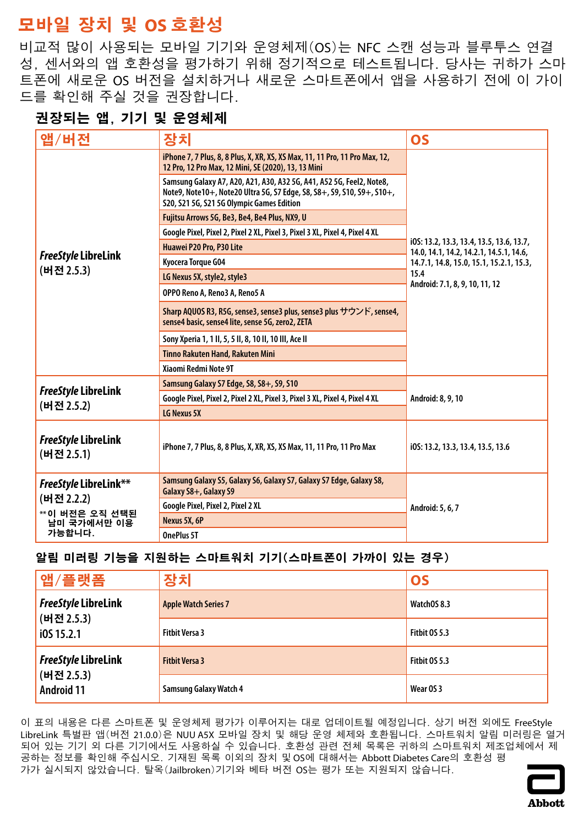# <span id="page-18-0"></span>**모바일 장치 및 OS 호환성**

비교적 많이 사용되는 모바일 기기와 운영체제(OS)는 NFC 스캔 성능과 블루투스 연결 성, 센서와의 앱 호환성을 평가하기 위해 정기적으로 테스트됩니다. 당사는 귀하가 스마 트폰에 새로운 OS 버전을 설치하거나 새로운 스마트폰에서 앱을 사용하기 전에 이 가이 드를 확인해 주실 것을 권장합니다.

### **권장되는 앱, 기기 및 운영체제**

| 앱/버전                                       | 장치                                                                                                                                                                                          | <b>OS</b>                                                                           |
|--------------------------------------------|---------------------------------------------------------------------------------------------------------------------------------------------------------------------------------------------|-------------------------------------------------------------------------------------|
|                                            | iPhone 7, 7 Plus, 8, 8 Plus, X, XR, XS, XS Max, 11, 11 Pro, 11 Pro Max, 12,<br>12 Pro, 12 Pro Max, 12 Mini, SE (2020), 13, 13 Mini                                                          |                                                                                     |
|                                            | Samsung Galaxy A7, A20, A21, A30, A32 5G, A41, A52 5G, Feel2, Note8,<br>Note9, Note10+, Note20 Ultra 5G, S7 Edge, S8, S8+, S9, S10, S9+, S10+,<br>S20, S21 5G, S21 5G Olympic Games Edition |                                                                                     |
|                                            | Fujitsu Arrows 5G, Be3, Be4, Be4 Plus, NX9, U                                                                                                                                               |                                                                                     |
|                                            | Google Pixel, Pixel 2, Pixel 2 XL, Pixel 3, Pixel 3 XL, Pixel 4, Pixel 4 XL                                                                                                                 |                                                                                     |
|                                            | Huawei P20 Pro, P30 Lite                                                                                                                                                                    | i0S: 13.2, 13.3, 13.4, 13.5, 13.6, 13.7,<br>14.0, 14.1, 14.2, 14.2.1, 14.5.1, 14.6, |
| <b>FreeStyle LibreLink</b>                 | Kyocera Torque G04                                                                                                                                                                          | 14.7.1, 14.8, 15.0, 15.1, 15.2.1, 15.3,                                             |
| (버전 2.5.3)                                 | LG Nexus 5X, style2, style3                                                                                                                                                                 | 15.4                                                                                |
|                                            | OPPO Reno A, Reno3 A, Reno5 A                                                                                                                                                               | Android: 7.1, 8, 9, 10, 11, 12                                                      |
|                                            | Sharp AQUOS R3, R5G, sense3, sense3 plus, sense3 plus サウンド, sense4,<br>sense4 basic, sense4 lite, sense 5G, zero2, ZETA                                                                     |                                                                                     |
|                                            | Sony Xperia 1, 1 II, 5, 5 II, 8, 10 II, 10 III, Ace II                                                                                                                                      |                                                                                     |
|                                            | Tinno Rakuten Hand, Rakuten Mini                                                                                                                                                            |                                                                                     |
|                                            | Xiaomi Redmi Note 9T                                                                                                                                                                        |                                                                                     |
|                                            | Samsung Galaxy S7 Edge, S8, S8+, S9, S10                                                                                                                                                    |                                                                                     |
| <b>FreeStyle LibreLink</b>                 | Google Pixel, Pixel 2, Pixel 2 XL, Pixel 3, Pixel 3 XL, Pixel 4, Pixel 4 XL                                                                                                                 | Android: 8, 9, 10                                                                   |
| (버전 2.5.2)                                 | LG Nexus 5X                                                                                                                                                                                 |                                                                                     |
| <b>FreeStyle LibreLink</b><br>(버전 2.5.1)   | iPhone 7, 7 Plus, 8, 8 Plus, X, XR, XS, XS Max, 11, 11 Pro, 11 Pro Max                                                                                                                      | i0S: 13.2, 13.3, 13.4, 13.5, 13.6                                                   |
| <b>FreeStyle LibreLink**</b><br>(버전 2.2.2) | Samsung Galaxy S5, Galaxy S6, Galaxy S7, Galaxy S7 Edge, Galaxy S8,<br>Galaxy S8+, Galaxy S9                                                                                                |                                                                                     |
| ** 이 버전은 오직 선택된<br>남미 국가에서만 이용<br>가능합니다.   | Google Pixel, Pixel 2, Pixel 2 XL                                                                                                                                                           | Android: 5, 6, 7                                                                    |
|                                            | Nexus 5X, 6P                                                                                                                                                                                |                                                                                     |
|                                            | OnePlus 5T                                                                                                                                                                                  |                                                                                     |

#### **알림 미러링 기능을 지원하는 스마트워치 기기(스마트폰이 가까이 있는 경우)**

| 앱/플랫폼                                                         | 장치                            | <b>OS</b>     |
|---------------------------------------------------------------|-------------------------------|---------------|
| <b>FreeStyle LibreLink</b><br>(버전 2.5.3)<br>i0S 15.2.1        | <b>Apple Watch Series 7</b>   | WatchOS 8.3   |
|                                                               | <b>Fitbit Versa 3</b>         | Fitbit 0S 5.3 |
| <b>FreeStyle LibreLink</b><br>(버전 2.5.3)<br><b>Android 11</b> | <b>Fitbit Versa 3</b>         | Fitbit 0S 5.3 |
|                                                               | <b>Samsung Galaxy Watch 4</b> | Wear OS 3     |

이 표의 내용은 다른 스마트폰 및 운영체제 평가가 이루어지는 대로 업데이트될 예정입니다. 상기 버전 외에도 FreeStyle LibreLink 특별판 앱(버전 21.0.0)은 NUU A5X 모바일 장치 및 해당 운영 체제와 호환됩니다. 스마트워치 알림 미러링은 열거 되어 있는 기기 외 다른 기기에서도 사용하실 수 있습니다. 호환성 관련 전체 목록은 귀하의 스마트워치 제조업체에서 제 공하는 정보를 확인해 주십시오. 기재된 목록 이외의 장치 및 OS에 대해서는 Abbott Diabetes Care의 호환성 평 가가 실시되지 않았습니다. 탈옥(Jailbroken)기기와 베타 버전 OS는 평가 또는 지원되지 않습니다.

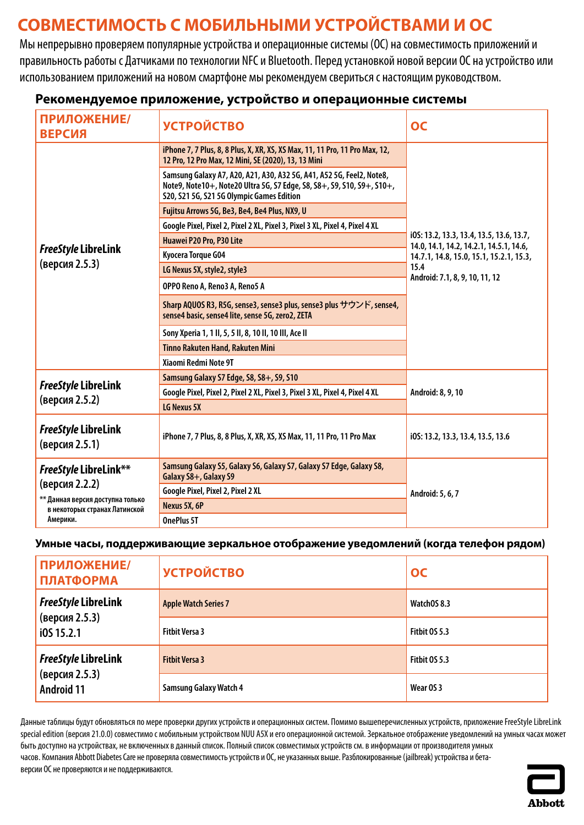# <span id="page-19-0"></span>**СОВМЕСТИМОСТЬ С МОБИЛЬНЫМИ УСТРОЙСТВАМИ И ОС**

Мы непрерывно проверяем популярные устройства и операционные системы (ОС) на совместимость приложений и правильность работы с Датчиками по технологии NFC и Bluetooth. Перед установкой новой версии ОС на устройство или использованием приложений на новом смартфоне мы рекомендуем свериться с настоящим руководством.

| ПРИЛОЖЕНИЕ/<br><b>ВЕРСИЯ</b>                                                                                                    | <b>УСТРОЙСТВО</b>                                                                                                                                                                           | OC                                                                                  |
|---------------------------------------------------------------------------------------------------------------------------------|---------------------------------------------------------------------------------------------------------------------------------------------------------------------------------------------|-------------------------------------------------------------------------------------|
|                                                                                                                                 | iPhone 7, 7 Plus, 8, 8 Plus, X, XR, XS, XS Max, 11, 11 Pro, 11 Pro Max, 12,<br>12 Pro, 12 Pro Max, 12 Mini, SE (2020), 13, 13 Mini                                                          |                                                                                     |
|                                                                                                                                 | Samsung Galaxy A7, A20, A21, A30, A32 5G, A41, A52 5G, Feel2, Note8,<br>Note9, Note10+, Note20 Ultra 5G, S7 Edge, S8, S8+, S9, S10, S9+, S10+,<br>S20, S21 5G, S21 5G Olympic Games Edition |                                                                                     |
|                                                                                                                                 | Fujitsu Arrows 5G, Be3, Be4, Be4 Plus, NX9, U                                                                                                                                               |                                                                                     |
|                                                                                                                                 | Google Pixel, Pixel 2, Pixel 2 XL, Pixel 3, Pixel 3 XL, Pixel 4, Pixel 4 XL                                                                                                                 |                                                                                     |
|                                                                                                                                 | Huawei P20 Pro, P30 Lite                                                                                                                                                                    | i0S: 13.2, 13.3, 13.4, 13.5, 13.6, 13.7,<br>14.0, 14.1, 14.2, 14.2.1, 14.5.1, 14.6, |
| <b>FreeStyle LibreLink</b>                                                                                                      | Kyocera Torque G04                                                                                                                                                                          | 14.7.1, 14.8, 15.0, 15.1, 15.2.1, 15.3,                                             |
| (версия 2.5.3)                                                                                                                  | LG Nexus 5X, style2, style3                                                                                                                                                                 | 15.4                                                                                |
|                                                                                                                                 | OPPO Reno A, Reno3 A, Reno5 A                                                                                                                                                               | Android: 7.1, 8, 9, 10, 11, 12                                                      |
|                                                                                                                                 | Sharp AQUOS R3, R5G, sense3, sense3 plus, sense3 plus サウンド, sense4,<br>sense4 basic, sense4 lite, sense 5G, zero2, ZETA                                                                     |                                                                                     |
|                                                                                                                                 | Sony Xperia 1, 1 II, 5, 5 II, 8, 10 II, 10 III, Ace II                                                                                                                                      |                                                                                     |
|                                                                                                                                 | <b>Tinno Rakuten Hand, Rakuten Mini</b>                                                                                                                                                     |                                                                                     |
|                                                                                                                                 | Xiaomi Redmi Note 9T                                                                                                                                                                        |                                                                                     |
|                                                                                                                                 | Samsung Galaxy S7 Edge, S8, S8+, S9, S10                                                                                                                                                    |                                                                                     |
| <b>FreeStyle LibreLink</b>                                                                                                      | Google Pixel, Pixel 2, Pixel 2 XL, Pixel 3, Pixel 3 XL, Pixel 4, Pixel 4 XL                                                                                                                 | Android: 8, 9, 10                                                                   |
| (версия 2.5.2)                                                                                                                  | LG Nexus 5X                                                                                                                                                                                 |                                                                                     |
| <b>FreeStyle LibreLink</b><br>(версия 2.5.1)                                                                                    | iPhone 7, 7 Plus, 8, 8 Plus, X, XR, XS, XS Max, 11, 11 Pro, 11 Pro Max                                                                                                                      | i0S: 13.2, 13.3, 13.4, 13.5, 13.6                                                   |
| <b>FreeStyle LibreLink**</b><br>(версия 2.2.2)<br>** Данная версия доступна только<br>в некоторых странах Латинской<br>Америки. | Samsung Galaxy S5, Galaxy S6, Galaxy S7, Galaxy S7 Edge, Galaxy S8,<br>Galaxy S8+, Galaxy S9                                                                                                | Android: 5, 6, 7                                                                    |
|                                                                                                                                 | Google Pixel, Pixel 2, Pixel 2 XL                                                                                                                                                           |                                                                                     |
|                                                                                                                                 | Nexus 5X, 6P                                                                                                                                                                                |                                                                                     |
|                                                                                                                                 | <b>OnePlus 5T</b>                                                                                                                                                                           |                                                                                     |

#### **Рекомендуемое приложение, устройство и операционные системы**

#### **Умные часы, поддерживающие зеркальное отображение уведомлений (когда телефон рядом)**

| ПРИЛОЖЕНИЕ/<br><b>ПЛАТФОРМА</b>                                   | <b>УСТРОЙСТВО</b>             | OC                   |
|-------------------------------------------------------------------|-------------------------------|----------------------|
| <b>FreeStyle LibreLink</b><br>(версия 2.5.3)<br>i0515.2.1         | <b>Apple Watch Series 7</b>   | WatchOS 8.3          |
|                                                                   | <b>Fitbit Versa 3</b>         | <b>Fitbit 0S 5.3</b> |
| <b>FreeStyle LibreLink</b><br>(версия 2.5.3)<br><b>Android 11</b> | <b>Fitbit Versa 3</b>         | <b>Fitbit 0S 5.3</b> |
|                                                                   | <b>Samsung Galaxy Watch 4</b> | Wear OS 3            |

Данные таблицы будут обновляться по мере проверки других устройств и операционных систем. Помимо вышеперечисленных устройств, приложение FreeStyle LibreLink special edition (версия 21.0.0) совместимо с мобильным устройством NUU A5X и его операционной системой. Зеркальное отображение уведомлений на умных часах может быть доступно на устройствах, не включенных в данный список. Полный список совместимых устройств см. в информации от производителя умных часов. Компания Abbott Diabetes Care не проверяла совместимость устройств и ОС, не указанных выше. Разблокированные (jailbreak) устройства и бетаверсии ОС не проверяются и не поддерживаются.

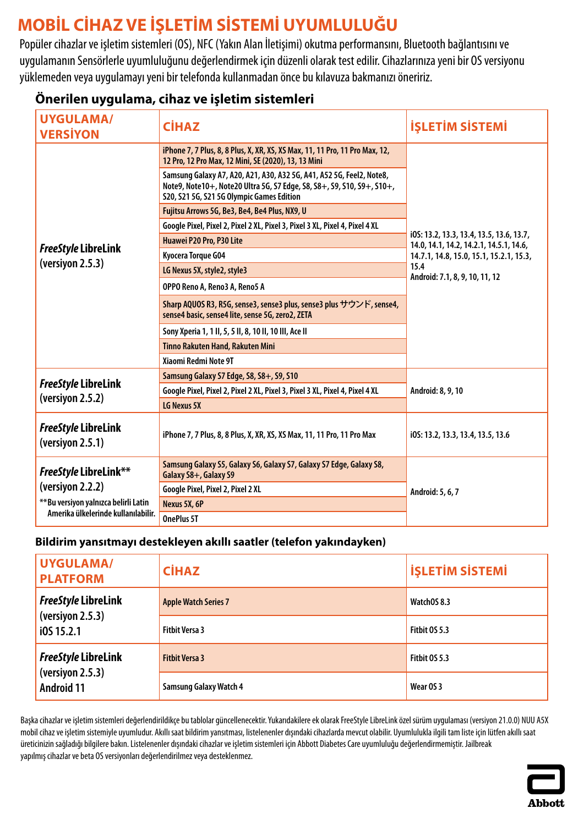# <span id="page-20-0"></span>**MOBİL CİHAZ VE İŞLETİM SİSTEMİ UYUMLULUĞU**

Popüler cihazlar ve işletim sistemleri (OS), NFC (Yakın Alan İletişimi) okutma performansını, Bluetooth bağlantısını ve uygulamanın Sensörlerle uyumluluğunu değerlendirmek için düzenli olarak test edilir. Cihazlarınıza yeni bir OS versiyonu yüklemeden veya uygulamayı yeni bir telefonda kullanmadan önce bu kılavuza bakmanızı öneririz.

### **Önerilen uygulama, cihaz ve işletim sistemleri**

| <b>UYGULAMA/</b><br><b>VERSIYON</b>                                                                                       | <b>CİHAZ</b>                                                                                                                                                                                | <b>İŞLETİM SİSTEMİ</b>                                                              |
|---------------------------------------------------------------------------------------------------------------------------|---------------------------------------------------------------------------------------------------------------------------------------------------------------------------------------------|-------------------------------------------------------------------------------------|
|                                                                                                                           | iPhone 7, 7 Plus, 8, 8 Plus, X, XR, XS, XS Max, 11, 11 Pro, 11 Pro Max, 12,<br>12 Pro, 12 Pro Max, 12 Mini, SE (2020), 13, 13 Mini                                                          |                                                                                     |
|                                                                                                                           | Samsung Galaxy A7, A20, A21, A30, A32 5G, A41, A52 5G, Feel2, Note8,<br>Note9, Note10+, Note20 Ultra 5G, S7 Edge, S8, S8+, S9, S10, S9+, S10+,<br>S20, S21 5G, S21 5G Olympic Games Edition |                                                                                     |
|                                                                                                                           | Fujitsu Arrows 5G, Be3, Be4, Be4 Plus, NX9, U                                                                                                                                               |                                                                                     |
|                                                                                                                           | Google Pixel, Pixel 2, Pixel 2 XL, Pixel 3, Pixel 3 XL, Pixel 4, Pixel 4 XL                                                                                                                 |                                                                                     |
|                                                                                                                           | Huawei P20 Pro, P30 Lite                                                                                                                                                                    | i0S: 13.2, 13.3, 13.4, 13.5, 13.6, 13.7,<br>14.0, 14.1, 14.2, 14.2.1, 14.5.1, 14.6, |
| <b>FreeStyle LibreLink</b>                                                                                                | Kyocera Torque G04                                                                                                                                                                          | 14.7.1, 14.8, 15.0, 15.1, 15.2.1, 15.3,                                             |
| (version 2.5.3)                                                                                                           | LG Nexus 5X, style2, style3                                                                                                                                                                 | 15.4                                                                                |
|                                                                                                                           | OPPO Reno A, Reno3 A, Reno5 A                                                                                                                                                               | Android: 7.1, 8, 9, 10, 11, 12                                                      |
|                                                                                                                           | Sharp AQUOS R3, R5G, sense3, sense3 plus, sense3 plus サウンド, sense4,<br>sense4 basic, sense4 lite, sense 5G, zero2, ZETA                                                                     |                                                                                     |
|                                                                                                                           | Sony Xperia 1, 1 II, 5, 5 II, 8, 10 II, 10 III, Ace II                                                                                                                                      |                                                                                     |
|                                                                                                                           | <b>Tinno Rakuten Hand, Rakuten Mini</b>                                                                                                                                                     |                                                                                     |
|                                                                                                                           | Xiaomi Redmi Note 9T                                                                                                                                                                        |                                                                                     |
|                                                                                                                           | Samsung Galaxy S7 Edge, S8, S8+, S9, S10                                                                                                                                                    | Android: 8, 9, 10<br>i0S: 13.2, 13.3, 13.4, 13.5, 13.6                              |
| <b>FreeStyle LibreLink</b>                                                                                                | Google Pixel, Pixel 2, Pixel 2 XL, Pixel 3, Pixel 3 XL, Pixel 4, Pixel 4 XL                                                                                                                 |                                                                                     |
| (versiyon 2.5.2)                                                                                                          | LG Nexus 5X                                                                                                                                                                                 |                                                                                     |
| <b>FreeStyle LibreLink</b><br>(versiyon 2.5.1)                                                                            | iPhone 7, 7 Plus, 8, 8 Plus, X, XR, XS, XS Max, 11, 11 Pro, 11 Pro Max                                                                                                                      |                                                                                     |
| FreeStyle LibreLink**<br>(versiyon 2.2.2)<br>** Bu versiyon yalnızca belirli Latin<br>Amerika ülkelerinde kullanılabilir. | Samsung Galaxy S5, Galaxy S6, Galaxy S7, Galaxy S7 Edge, Galaxy S8,<br>Galaxy S8+, Galaxy S9                                                                                                | Android: 5, 6, 7                                                                    |
|                                                                                                                           | Google Pixel, Pixel 2, Pixel 2 XL                                                                                                                                                           |                                                                                     |
|                                                                                                                           | Nexus 5X, 6P                                                                                                                                                                                |                                                                                     |
|                                                                                                                           | OnePlus 5T                                                                                                                                                                                  |                                                                                     |

#### **Bildirim yansıtmayı destekleyen akıllı saatler (telefon yakındayken)**

| <b>UYGULAMA/</b><br><b>PLATFORM</b>                                 | <b>CİHAZ</b>                  | <b>İŞLETİM SİSTEMİ</b> |
|---------------------------------------------------------------------|-------------------------------|------------------------|
| <b>FreeStyle LibreLink</b><br>(versiyon 2.5.3)<br>i0S 15.2.1        | <b>Apple Watch Series 7</b>   | WatchOS 8.3            |
|                                                                     | <b>Fitbit Versa 3</b>         | Fitbit 0S 5.3          |
| <b>FreeStyle LibreLink</b><br>(versiyon 2.5.3)<br><b>Android 11</b> | <b>Fitbit Versa 3</b>         | Fitbit 0S 5.3          |
|                                                                     | <b>Samsung Galaxy Watch 4</b> | Wear OS 3              |

Başka cihazlar ve işletim sistemleri değerlendirildikçe bu tablolar güncellenecektir. Yukarıdakilere ek olarak FreeStyle LibreLink özel sürüm uygulaması (versiyon 21.0.0) NUU A5X mobil cihaz ve işletim sistemiyle uyumludur. Akıllı saat bildirim yansıtması, listelenenler dışındaki cihazlarda mevcut olabilir. Uyumlulukla ilgili tam liste için lütfen akıllı saat üreticinizin sağladığı bilgilere bakın. Listelenenler dışındaki cihazlar ve işletim sistemleri için Abbott Diabetes Care uyumluluğu değerlendirmemiştir. Jailbreak yapılmış cihazlar ve beta OS versiyonları değerlendirilmez veya desteklenmez.

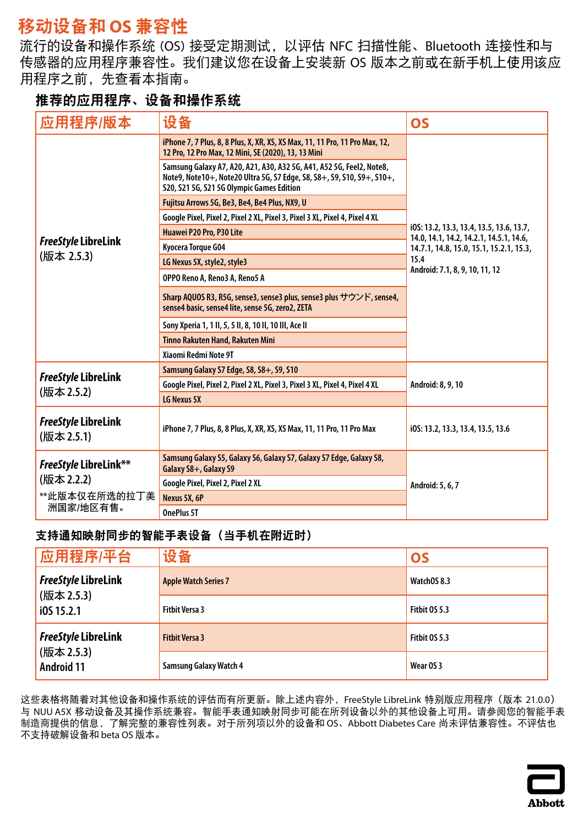# <span id="page-21-0"></span>移动设备和 **OS** 兼容性

流行的设备和操作系统 (OS) 接受定期测试,以评估 NFC 扫描性能、Bluetooth 连接性和与 传感器的应用程序兼容性。我们建议您在设备上安装新 OS 版本之前或在新手机上使用该应 用程序之前,先查看本指南。

### 推荐的应用程序、设备和操作系统

| 应用程序/版本                                                                  | 设备                                                                                                                                                                                          | <b>OS</b>                                                                           |
|--------------------------------------------------------------------------|---------------------------------------------------------------------------------------------------------------------------------------------------------------------------------------------|-------------------------------------------------------------------------------------|
|                                                                          | iPhone 7, 7 Plus, 8, 8 Plus, X, XR, XS, XS Max, 11, 11 Pro, 11 Pro Max, 12,<br>12 Pro, 12 Pro Max, 12 Mini, SE (2020), 13, 13 Mini                                                          |                                                                                     |
|                                                                          | Samsung Galaxy A7, A20, A21, A30, A32 5G, A41, A52 5G, Feel2, Note8,<br>Note9, Note10+, Note20 Ultra 5G, S7 Edge, S8, S8+, S9, S10, S9+, S10+,<br>S20, S21 5G, S21 5G Olympic Games Edition |                                                                                     |
|                                                                          | Fujitsu Arrows 5G, Be3, Be4, Be4 Plus, NX9, U                                                                                                                                               |                                                                                     |
|                                                                          | Google Pixel, Pixel 2, Pixel 2 XL, Pixel 3, Pixel 3 XL, Pixel 4, Pixel 4 XL                                                                                                                 |                                                                                     |
|                                                                          | Huawei P20 Pro, P30 Lite                                                                                                                                                                    | i0S: 13.2, 13.3, 13.4, 13.5, 13.6, 13.7,<br>14.0, 14.1, 14.2, 14.2.1, 14.5.1, 14.6, |
| <b>FreeStyle LibreLink</b>                                               | Kyocera Torque G04                                                                                                                                                                          | 14.7.1, 14.8, 15.0, 15.1, 15.2.1, 15.3,                                             |
| (版本 2.5.3)                                                               | LG Nexus 5X, style2, style3                                                                                                                                                                 | 15.4                                                                                |
|                                                                          | OPPO Reno A, Reno3 A, Reno5 A                                                                                                                                                               | Android: 7.1, 8, 9, 10, 11, 12                                                      |
|                                                                          | Sharp AQUOS R3, R5G, sense3, sense3 plus, sense3 plus サウンド, sense4,<br>sense4 basic, sense4 lite, sense 5G, zero2, ZETA                                                                     |                                                                                     |
|                                                                          | Sony Xperia 1, 1 II, 5, 5 II, 8, 10 II, 10 III, Ace II                                                                                                                                      |                                                                                     |
|                                                                          | Tinno Rakuten Hand, Rakuten Mini                                                                                                                                                            |                                                                                     |
|                                                                          | Xiaomi Redmi Note 9T                                                                                                                                                                        |                                                                                     |
|                                                                          | Samsung Galaxy S7 Edge, S8, S8+, S9, S10                                                                                                                                                    |                                                                                     |
| <b>FreeStyle LibreLink</b><br>(版本 2.5.2)                                 | Google Pixel, Pixel 2, Pixel 2 XL, Pixel 3, Pixel 3 XL, Pixel 4, Pixel 4 XL                                                                                                                 | Android: 8, 9, 10                                                                   |
|                                                                          | LG Nexus 5X                                                                                                                                                                                 |                                                                                     |
| <b>FreeStyle LibreLink</b><br>(版本 2.5.1)                                 | iPhone 7, 7 Plus, 8, 8 Plus, X, XR, XS, XS Max, 11, 11 Pro, 11 Pro Max                                                                                                                      | i0S: 13.2, 13.3, 13.4, 13.5, 13.6                                                   |
| <b>FreeStyle LibreLink**</b><br>(版本 2.2.2)<br>**此版本仅在所选的拉丁美<br>洲国家/地区有售。 | Samsung Galaxy S5, Galaxy S6, Galaxy S7, Galaxy S7 Edge, Galaxy S8,<br>Galaxy S8+, Galaxy S9                                                                                                |                                                                                     |
|                                                                          | Google Pixel, Pixel 2, Pixel 2 XL                                                                                                                                                           | Android: 5, 6, 7                                                                    |
|                                                                          | Nexus 5X, 6P                                                                                                                                                                                |                                                                                     |
|                                                                          | OnePlus 5T                                                                                                                                                                                  |                                                                                     |

#### 支持通知映射同步的智能手表设备(当手机在附近时)

| 应用程序/平台                                                       | 设备                            | <b>OS</b>     |
|---------------------------------------------------------------|-------------------------------|---------------|
| <b>FreeStyle LibreLink</b><br>(版本 2.5.3)<br>i0S 15.2.1        | <b>Apple Watch Series 7</b>   | WatchOS 8.3   |
|                                                               | <b>Fitbit Versa 3</b>         | Fitbit OS 5.3 |
| <b>FreeStyle LibreLink</b><br>(版本 2.5.3)<br><b>Android 11</b> | <b>Fitbit Versa 3</b>         | Fitbit 0S 5.3 |
|                                                               | <b>Samsung Galaxy Watch 4</b> | Wear OS 3     |

这些表格将随着对其他设备和操作系统的评估而有所更新。除上述内容外,FreeStyle LibreLink 特别版应用程序(版本 21.0.0) 与 NUU A5X 移动设备及其操作系统兼容。智能手表通知映射同步可能在所列设备以外的其他设备上可用。请参阅您的智能手表 制造商提供的信息,了解完整的兼容性列表。对于所列项以外的设备和 OS、Abbott Diabetes Care 尚未评估兼容性。不评估也 不支持破解设备和 beta OS 版本。

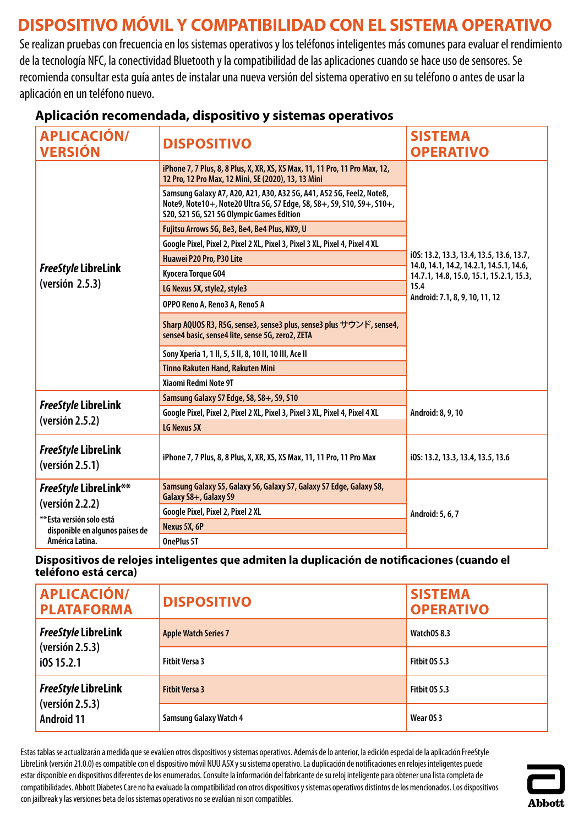# <span id="page-22-0"></span>**DISPOSITIVO MÓVIL Y COMPATIBILIDAD CON EL SISTEMA OPERATIVO**

Se realizan pruebas con frecuencia en los sistemas operativos y los teléfonos inteligentes más comunes para evaluar el rendimiento de la tecnología NFC, la conectividad Bluetooth y la compatibilidad de las aplicaciones cuando se hace uso de sensores. Se recomienda consultar esta guía antes de instalar una nueva versión del sistema operativo en su teléfono o antes de usar la aplicación en un teléfono nuevo.

| <b>APLICACIÓN/</b><br><b>VERSIÓN</b>                                                                                              | <b>DISPOSITIVO</b>                                                                                                                                                                          | <b>SISTEMA</b><br><b>OPERATIVO</b>                                                  |
|-----------------------------------------------------------------------------------------------------------------------------------|---------------------------------------------------------------------------------------------------------------------------------------------------------------------------------------------|-------------------------------------------------------------------------------------|
|                                                                                                                                   | iPhone 7, 7 Plus, 8, 8 Plus, X, XR, XS, XS Max, 11, 11 Pro, 11 Pro Max, 12,<br>12 Pro, 12 Pro Max, 12 Mini, SE (2020), 13, 13 Mini                                                          |                                                                                     |
|                                                                                                                                   | Samsung Galaxy A7, A20, A21, A30, A32 5G, A41, A52 5G, Feel2, Note8,<br>Note9, Note10+, Note20 Ultra 5G, S7 Edge, S8, S8+, S9, S10, S9+, S10+,<br>S20, S21 5G, S21 5G Olympic Games Edition |                                                                                     |
|                                                                                                                                   | Fujitsu Arrows 5G, Be3, Be4, Be4 Plus, NX9, U                                                                                                                                               |                                                                                     |
|                                                                                                                                   | Google Pixel, Pixel 2, Pixel 2 XL, Pixel 3, Pixel 3 XL, Pixel 4, Pixel 4 XL                                                                                                                 |                                                                                     |
|                                                                                                                                   | Huawei P20 Pro, P30 Lite                                                                                                                                                                    | i0S: 13.2, 13.3, 13.4, 13.5, 13.6, 13.7,<br>14.0, 14.1, 14.2, 14.2.1, 14.5.1, 14.6, |
| <b>FreeStyle LibreLink</b>                                                                                                        | Kyocera Torque G04                                                                                                                                                                          | 14.7.1, 14.8, 15.0, 15.1, 15.2.1, 15.3,                                             |
| (version 2.5.3)                                                                                                                   | LG Nexus 5X, style2, style3                                                                                                                                                                 | 15.4                                                                                |
|                                                                                                                                   | OPPO Reno A, Reno3 A, Reno5 A                                                                                                                                                               | Android: 7.1, 8, 9, 10, 11, 12                                                      |
|                                                                                                                                   | Sharp AQUOS R3, R5G, sense3, sense3 plus, sense3 plus サウンド, sense4,<br>sense4 basic, sense4 lite, sense 5G, zero2, ZETA                                                                     |                                                                                     |
|                                                                                                                                   | Sony Xperia 1, 1 II, 5, 5 II, 8, 10 II, 10 III, Ace II                                                                                                                                      |                                                                                     |
|                                                                                                                                   | Tinno Rakuten Hand, Rakuten Mini                                                                                                                                                            |                                                                                     |
|                                                                                                                                   | Xiaomi Redmi Note 9T                                                                                                                                                                        |                                                                                     |
|                                                                                                                                   | Samsung Galaxy S7 Edge, S8, S8+, S9, S10                                                                                                                                                    |                                                                                     |
| <b>FreeStyle LibreLink</b>                                                                                                        | Google Pixel, Pixel 2, Pixel 2 XL, Pixel 3, Pixel 3 XL, Pixel 4, Pixel 4 XL                                                                                                                 | Android: 8, 9, 10                                                                   |
| (yersión 2.5.2)                                                                                                                   | LG Nexus 5X                                                                                                                                                                                 |                                                                                     |
| <b>FreeStyle LibreLink</b><br>(yersión 2.5.1)                                                                                     | iPhone 7, 7 Plus, 8, 8 Plus, X, XR, XS, XS Max, 11, 11 Pro, 11 Pro Max                                                                                                                      | i0S: 13.2, 13.3, 13.4, 13.5, 13.6                                                   |
| <b>FreeStyle LibreLink**</b><br>(yersión 2.2.2)<br>**Esta versión solo está<br>disponible en algunos países de<br>América Latina. | Samsung Galaxy S5, Galaxy S6, Galaxy S7, Galaxy S7 Edge, Galaxy S8,<br>Galaxy S8+, Galaxy S9                                                                                                |                                                                                     |
|                                                                                                                                   | Google Pixel, Pixel 2, Pixel 2 XL                                                                                                                                                           | Android: 5, 6, 7                                                                    |
|                                                                                                                                   | Nexus 5X, 6P                                                                                                                                                                                |                                                                                     |
|                                                                                                                                   | OnePlus 5T                                                                                                                                                                                  |                                                                                     |

### **Aplicación recomendada, dispositivo y sistemas operativos**

#### **Dispositivos de relojes inteligentes que admiten la duplicación de notificaciones (cuando el teléfono está cerca)**

| <b>APLICACIÓN/</b><br><b>PLATAFORMA</b>                                                      | <b>DISPOSITIVO</b>            | <b>SISTEMA</b><br><b>OPERATIVO</b> |
|----------------------------------------------------------------------------------------------|-------------------------------|------------------------------------|
| <i><b>FreeStyle LibreLink</b></i><br>$\sqrt{(versión 2.5.3)}$<br>i0S 15.2.1                  | <b>Apple Watch Series 7</b>   | WatchOS 8.3                        |
|                                                                                              | <b>Fitbit Versa 3</b>         | <b>Fitbit 0S 5.3</b>               |
| <i><b>FreeStyle LibreLink</b></i><br>$\sqrt{\sqrt{25}}$ (versión 2.5.3)<br><b>Android 11</b> | <b>Fitbit Versa 3</b>         | Fitbit OS 5.3                      |
|                                                                                              | <b>Samsung Galaxy Watch 4</b> | Wear OS 3                          |

Estas tablas se actualizarán a medida que se evalúen otros dispositivos y sistemas operativos. Además de lo anterior, la edición especial de la aplicación FreeStyle LibreLink (versión 21.0.0) es compatible con el dispositivo móvil NUU A5X y su sistema operativo. La duplicación de notificaciones en relojes inteligentes puede estar disponible en dispositivos diferentes de los enumerados. Consulte la información del fabricante de su reloj inteligente para obtener una lista completa de compatibilidades. Abbott Diabetes Care no ha evaluado la compatibilidad con otros dispositivos y sistemas operativos distintos de los mencionados. Los dispositivos con jailbreak y las versiones beta de los sistemas operativos no se evalúan ni son compatibles.